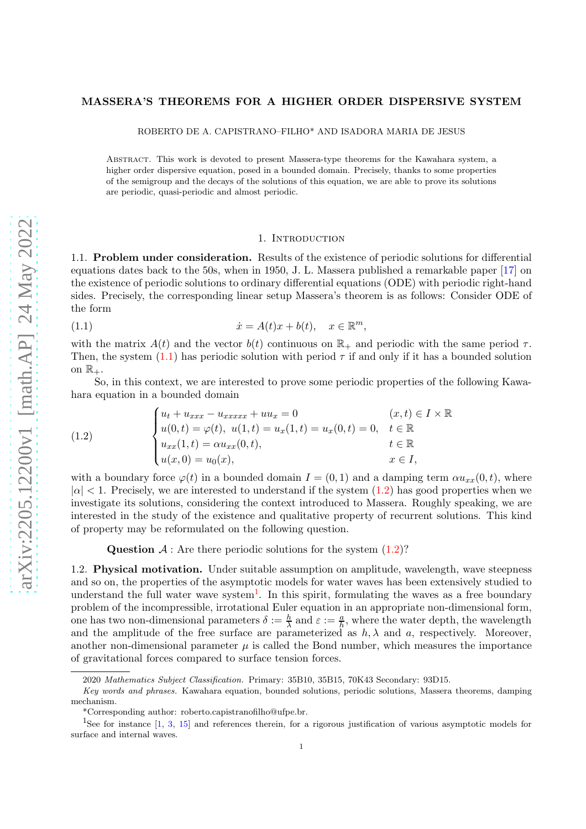## MASSERA'S THEOREMS FOR A HIGHER ORDER DISPERSIVE SYSTEM

ROBERTO DE A. CAPISTRANO–FILHO\* AND ISADORA MARIA DE JESUS

Abstract. This work is devoted to present Massera-type theorems for the Kawahara system, a higher order dispersive equation, posed in a bounded domain. Precisely, thanks to some properties of the semigroup and the decays of the solutions of this equation, we are able to prove its solutions are periodic, quasi-periodic and almost periodic.

#### <span id="page-0-0"></span>1. INTRODUCTION

1.1. Problem under consideration. Results of the existence of periodic solutions for differential equations dates back to the 50s, when in 1950, J. L. Massera published a remarkable paper [\[17\]](#page-18-0) on the existence of periodic solutions to ordinary differential equations (ODE) with periodic right-hand sides. Precisely, the corresponding linear setup Massera's theorem is as follows: Consider ODE of the form

(1.1) 
$$
\dot{x} = A(t)x + b(t), \quad x \in \mathbb{R}^m,
$$

with the matrix  $A(t)$  and the vector  $b(t)$  continuous on  $\mathbb{R}_+$  and periodic with the same period  $\tau$ . Then, the system  $(1.1)$  has periodic solution with period  $\tau$  if and only if it has a bounded solution on  $\mathbb{R}_+$ .

So, in this context, we are interested to prove some periodic properties of the following Kawahara equation in a bounded domain

<span id="page-0-1"></span>(1.2) 
$$
\begin{cases} u_t + u_{xxx} - u_{xxxxx} + uu_x = 0 & (x, t) \in I \times \mathbb{R} \\ u(0, t) = \varphi(t), \ u(1, t) = u_x(1, t) = u_x(0, t) = 0, \quad t \in \mathbb{R} \\ u_{xx}(1, t) = \alpha u_{xx}(0, t), & t \in \mathbb{R} \\ u(x, 0) = u_0(x), & x \in I, \end{cases}
$$

with a boundary force  $\varphi(t)$  in a bounded domain  $I = (0, 1)$  and a damping term  $\alpha u_{xx}(0, t)$ , where  $|\alpha|$  < 1. Precisely, we are interested to understand if the system [\(1.2\)](#page-0-1) has good properties when we investigate its solutions, considering the context introduced to Massera. Roughly speaking, we are interested in the study of the existence and qualitative property of recurrent solutions. This kind of property may be reformulated on the following question.

Question  $A$ : Are there periodic solutions for the system  $(1.2)$ ?

1.2. Physical motivation. Under suitable assumption on amplitude, wavelength, wave steepness and so on, the properties of the asymptotic models for water waves has been extensively studied to understand the full water wave system<sup>[1](#page-0-2)</sup>. In this spirit, formulating the waves as a free boundary problem of the incompressible, irrotational Euler equation in an appropriate non-dimensional form, one has two non-dimensional parameters  $\delta := \frac{h}{\lambda}$  and  $\varepsilon := \frac{a}{h}$ , where the water depth, the wavelength and the amplitude of the free surface are parameterized as  $h, \lambda$  and a, respectively. Moreover, another non-dimensional parameter  $\mu$  is called the Bond number, which measures the importance of gravitational forces compared to surface tension forces.

<sup>2020</sup> Mathematics Subject Classification. Primary: 35B10, 35B15, 70K43 Secondary: 93D15.

Key words and phrases. Kawahara equation, bounded solutions, periodic solutions, Massera theorems, damping mechanism.

<sup>\*</sup>Corresponding author: roberto.capistranofilho@ufpe.br.

<span id="page-0-2"></span><sup>1</sup>See for instance [\[1,](#page-18-1) [3,](#page-18-2) [15\]](#page-18-3) and references therein, for a rigorous justification of various asymptotic models for surface and internal waves.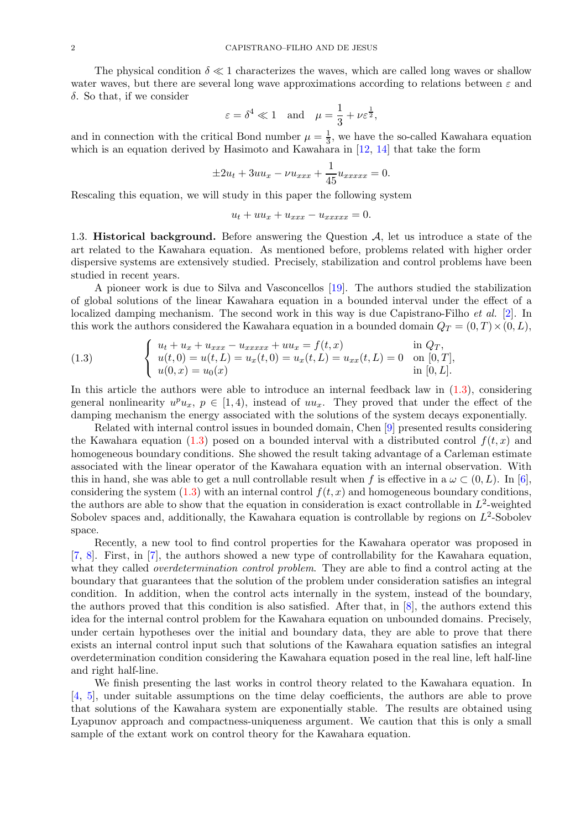The physical condition  $\delta \ll 1$  characterizes the waves, which are called long waves or shallow water waves, but there are several long wave approximations according to relations between  $\varepsilon$  and δ. So that, if we consider

$$
\varepsilon = \delta^4 \ll 1
$$
 and  $\mu = \frac{1}{3} + \nu \varepsilon^{\frac{1}{2}},$ 

and in connection with the critical Bond number  $\mu = \frac{1}{3}$  $\frac{1}{3}$ , we have the so-called Kawahara equation which is an equation derived by Hasimoto and Kawahara in [\[12,](#page-18-4) [14\]](#page-18-5) that take the form

$$
\pm 2u_t + 3uu_x - \nu u_{xxx} + \frac{1}{45}u_{xxxxx} = 0.
$$

Rescaling this equation, we will study in this paper the following system

$$
u_t + uu_x + u_{xxx} - u_{xxxxx} = 0.
$$

1.3. **Historical background.** Before answering the Question  $A$ , let us introduce a state of the art related to the Kawahara equation. As mentioned before, problems related with higher order dispersive systems are extensively studied. Precisely, stabilization and control problems have been studied in recent years.

A pioneer work is due to Silva and Vasconcellos [\[19\]](#page-18-6). The authors studied the stabilization of global solutions of the linear Kawahara equation in a bounded interval under the effect of a localized damping mechanism. The second work in this way is due Capistrano-Filho *et al.* [\[2\]](#page-18-7). In this work the authors considered the Kawahara equation in a bounded domain  $Q_T = (0, T) \times (0, L)$ ,

<span id="page-1-0"></span>(1.3) 
$$
\begin{cases} u_t + u_x + u_{xxx} - u_{xxxxx} + uu_x = f(t, x) & \text{in } Q_T, \\ u(t, 0) = u(t, L) = u_x(t, 0) = u_x(t, L) = u_{xx}(t, L) = 0 & \text{on } [0, T], \\ u(0, x) = u_0(x) & \text{in } [0, L]. \end{cases}
$$

In this article the authors were able to introduce an internal feedback law in  $(1.3)$ , considering general nonlinearity  $u^p u_x$ ,  $p \in [1, 4)$ , instead of  $uu_x$ . They proved that under the effect of the damping mechanism the energy associated with the solutions of the system decays exponentially.

Related with internal control issues in bounded domain, Chen [\[9\]](#page-18-8) presented results considering the Kawahara equation [\(1.3\)](#page-1-0) posed on a bounded interval with a distributed control  $f(t, x)$  and homogeneous boundary conditions. She showed the result taking advantage of a Carleman estimate associated with the linear operator of the Kawahara equation with an internal observation. With this in hand, she was able to get a null controllable result when f is effective in a  $\omega \subset (0, L)$ . In [\[6\]](#page-18-9), considering the system  $(1.3)$  with an internal control  $f(t, x)$  and homogeneous boundary conditions, the authors are able to show that the equation in consideration is exact controllable in  $L^2$ -weighted Sobolev spaces and, additionally, the Kawahara equation is controllable by regions on  $L^2$ -Sobolev space.

Recently, a new tool to find control properties for the Kawahara operator was proposed in [\[7,](#page-18-10) [8\]](#page-18-11). First, in [\[7\]](#page-18-10), the authors showed a new type of controllability for the Kawahara equation, what they called *overdetermination control problem*. They are able to find a control acting at the boundary that guarantees that the solution of the problem under consideration satisfies an integral condition. In addition, when the control acts internally in the system, instead of the boundary, the authors proved that this condition is also satisfied. After that, in [\[8\]](#page-18-11), the authors extend this idea for the internal control problem for the Kawahara equation on unbounded domains. Precisely, under certain hypotheses over the initial and boundary data, they are able to prove that there exists an internal control input such that solutions of the Kawahara equation satisfies an integral overdetermination condition considering the Kawahara equation posed in the real line, left half-line and right half-line.

We finish presenting the last works in control theory related to the Kawahara equation. In [\[4,](#page-18-12) [5\]](#page-18-13), under suitable assumptions on the time delay coefficients, the authors are able to prove that solutions of the Kawahara system are exponentially stable. The results are obtained using Lyapunov approach and compactness-uniqueness argument. We caution that this is only a small sample of the extant work on control theory for the Kawahara equation.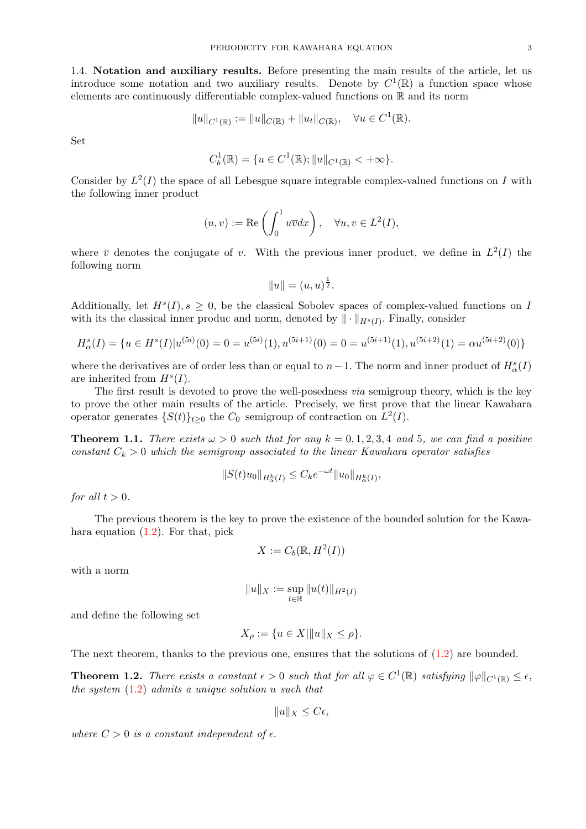1.4. Notation and auxiliary results. Before presenting the main results of the article, let us introduce some notation and two auxiliary results. Denote by  $C^1(\mathbb{R})$  a function space whose elements are continuously differentiable complex-valued functions on R and its norm

$$
||u||_{C^1(\mathbb{R})} := ||u||_{C(\mathbb{R})} + ||u_t||_{C(\mathbb{R})}, \quad \forall u \in C^1(\mathbb{R}).
$$

Set

$$
C_b^1(\mathbb{R}) = \{ u \in C^1(\mathbb{R}); \|u\|_{C^1(\mathbb{R})} < +\infty \}.
$$

Consider by  $L^2(I)$  the space of all Lebesgue square integrable complex-valued functions on I with the following inner product

$$
(u, v) := \text{Re}\left(\int_0^1 u\overline{v}dx\right), \quad \forall u, v \in L^2(I),
$$

where  $\overline{v}$  denotes the conjugate of v. With the previous inner product, we define in  $L^2(I)$  the following norm

$$
||u|| = (u, u)^{\frac{1}{2}}.
$$

Additionally, let  $H^s(I), s \geq 0$ , be the classical Sobolev spaces of complex-valued functions on I with its the classical inner produc and norm, denoted by  $\|\cdot\|_{H^s(I)}$ . Finally, consider

$$
H^s_\alpha(I) = \{ u \in H^s(I) | u^{(5i)}(0) = 0 = u^{(5i)}(1), u^{(5i+1)}(0) = 0 = u^{(5i+1)}(1), u^{(5i+2)}(1) = \alpha u^{(5i+2)}(0) \}
$$

where the derivatives are of order less than or equal to  $n-1$ . The norm and inner product of  $H^s_\alpha(I)$ are inherited from  $H<sup>s</sup>(I)$ .

The first result is devoted to prove the well-posedness via semigroup theory, which is the key to prove the other main results of the article. Precisely, we first prove that the linear Kawahara operator generates  $\{S(t)\}_{t\geq 0}$  the  $C_0$ -semigroup of contraction on  $L^2(I)$ .

<span id="page-2-1"></span>**Theorem 1.1.** There exists  $\omega > 0$  such that for any  $k = 0, 1, 2, 3, 4$  and 5, we can find a positive constant  $C_k > 0$  which the semigroup associated to the linear Kawahara operator satisfies

$$
||S(t)u_0||_{H^k_{\alpha}(I)} \leq C_k e^{-\omega t} ||u_0||_{H^k_{\alpha}(I)},
$$

for all  $t > 0$ .

The previous theorem is the key to prove the existence of the bounded solution for the Kawahara equation  $(1.2)$ . For that, pick

$$
X := C_b(\mathbb{R}, H^2(I))
$$

with a norm

$$
\|u\|_X:=\sup_{t\in\mathbb{R}}\|u(t)\|_{H^2(I)}
$$

and define the following set

$$
X_{\rho} := \{ u \in X | ||u||_X \le \rho \}.
$$

The next theorem, thanks to the previous one, ensures that the solutions of  $(1.2)$  are bounded.

<span id="page-2-0"></span>**Theorem 1.2.** There exists a constant  $\epsilon > 0$  such that for all  $\varphi \in C^1(\mathbb{R})$  satisfying  $\|\varphi\|_{C^1(\mathbb{R})} \leq \epsilon$ , the system  $(1.2)$  admits a unique solution u such that

$$
||u||_X \leq C\epsilon,
$$

where  $C > 0$  is a constant independent of  $\epsilon$ .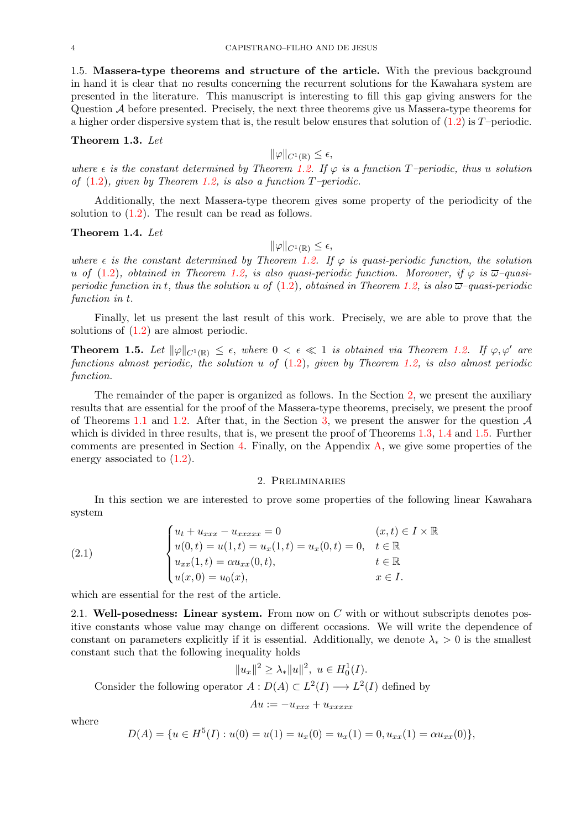1.5. Massera-type theorems and structure of the article. With the previous background in hand it is clear that no results concerning the recurrent solutions for the Kawahara system are presented in the literature. This manuscript is interesting to fill this gap giving answers for the Question A before presented. Precisely, the next three theorems give us Massera-type theorems for a higher order dispersive system that is, the result below ensures that solution of  $(1.2)$  is T–periodic.

### <span id="page-3-1"></span>Theorem 1.3. Let

 $\|\varphi\|_{C^1(\mathbb{R})} \leq \epsilon,$ 

where  $\epsilon$  is the constant determined by Theorem [1.2.](#page-2-0) If  $\varphi$  is a function T–periodic, thus u solution of  $(1.2)$ , given by Theorem [1.2,](#page-2-0) is also a function T-periodic.

Additionally, the next Massera-type theorem gives some property of the periodicity of the solution to  $(1.2)$ . The result can be read as follows.

## <span id="page-3-2"></span>Theorem 1.4. Let

# $\|\varphi\|_{C^1(\mathbb{R})} \leq \epsilon,$

where  $\epsilon$  is the constant determined by Theorem [1.2.](#page-2-0) If  $\varphi$  is quasi-periodic function, the solution u of [\(1.2\)](#page-0-1), obtained in Theorem [1.2,](#page-2-0) is also quasi-periodic function. Moreover, if  $\varphi$  is  $\overline{\omega}$ -quasiperiodic function in t, thus the solution u of  $(1.2)$ , obtained in Theorem [1.2,](#page-2-0) is also  $\overline{\omega}$ -quasi-periodic function in t.

Finally, let us present the last result of this work. Precisely, we are able to prove that the solutions of [\(1.2\)](#page-0-1) are almost periodic.

<span id="page-3-3"></span>**Theorem 1.5.** Let  $\|\varphi\|_{C^1(\mathbb{R})} \leq \epsilon$ , where  $0 < \epsilon \ll 1$  is obtained via Theorem [1.2.](#page-2-0) If  $\varphi, \varphi'$  are functions almost periodic, the solution  $u$  of  $(1.2)$ , given by Theorem [1.2,](#page-2-0) is also almost periodic function.

The remainder of the paper is organized as follows. In the Section [2,](#page-3-0) we present the auxiliary results that are essential for the proof of the Massera-type theorems, precisely, we present the proof of Theorems [1.1](#page-2-1) and [1.2.](#page-2-0) After that, in the Section [3,](#page-11-0) we present the answer for the question  $A$ which is divided in three results, that is, we present the proof of Theorems [1.3,](#page-3-1) [1.4](#page-3-2) and [1.5.](#page-3-3) Further comments are presented in Section [4.](#page-14-0) Finally, on the Appendix  $\bf{A}$ , we give some properties of the energy associated to  $(1.2)$ .

## 2. Preliminaries

<span id="page-3-0"></span>In this section we are interested to prove some properties of the following linear Kawahara system

<span id="page-3-4"></span>(2.1) 
$$
\begin{cases} u_t + u_{xxx} - u_{xxxxx} = 0 & (x, t) \in I \times \mathbb{R} \\ u(0, t) = u(1, t) = u_x(1, t) = u_x(0, t) = 0, & t \in \mathbb{R} \\ u_{xx}(1, t) = \alpha u_{xx}(0, t), & t \in \mathbb{R} \\ u(x, 0) = u_0(x), & x \in I. \end{cases}
$$

which are essential for the rest of the article.

2.1. Well-posedness: Linear system. From now on  $C$  with or without subscripts denotes positive constants whose value may change on different occasions. We will write the dependence of constant on parameters explicitly if it is essential. Additionally, we denote  $\lambda_* > 0$  is the smallest constant such that the following inequality holds

$$
||u_x||^2 \ge \lambda_* ||u||^2, \ u \in H_0^1(I).
$$

Consider the following operator  $A: D(A) \subset L^2(I) \longrightarrow L^2(I)$  defined by

$$
Au := -u_{xxx} + u_{xxxx}
$$

where

$$
D(A) = \{u \in H^5(I) : u(0) = u(1) = u_x(0) = u_x(1) = 0, u_{xx}(1) = \alpha u_{xx}(0)\},\
$$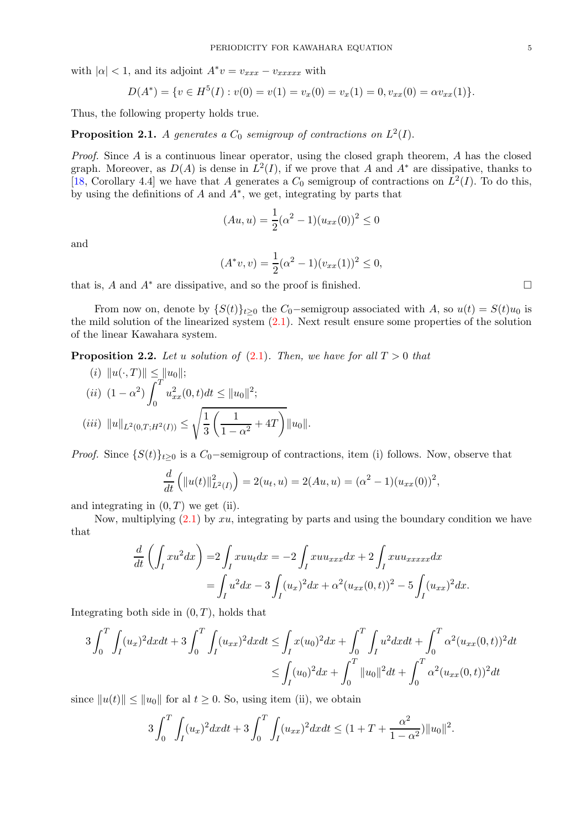with  $|\alpha| < 1$ , and its adjoint  $A^*v = v_{xxxx} - v_{xxxxx}$  with

$$
D(A^*) = \{ v \in H^5(I) : v(0) = v(1) = v_x(0) = v_x(1) = 0, v_{xx}(0) = \alpha v_{xx}(1) \}.
$$

Thus, the following property holds true.

<span id="page-4-1"></span>**Proposition 2.1.** A generates a  $C_0$  semigroup of contractions on  $L^2(I)$ .

Proof. Since A is a continuous linear operator, using the closed graph theorem, A has the closed graph. Moreover, as  $D(A)$  is dense in  $L^2(I)$ , if we prove that A and  $A^*$  are dissipative, thanks to [\[18,](#page-18-14) Corollary 4.4] we have that A generates a  $C_0$  semigroup of contractions on  $L^2(I)$ . To do this, by using the definitions of  $A$  and  $A^*$ , we get, integrating by parts that

$$
(Au, u) = \frac{1}{2}(\alpha^2 - 1)(u_{xx}(0))^2 \le 0
$$

and

$$
(A^*v, v) = \frac{1}{2}(\alpha^2 - 1)(v_{xx}(1))^2 \le 0,
$$

that is, A and  $A^*$  are dissipative, and so the proof is finished.  $\square$ 

From now on, denote by  $\{S(t)\}_{t\geq 0}$  the  $C_0$ -semigroup associated with A, so  $u(t) = S(t)u_0$  is the mild solution of the linearized system  $(2.1)$ . Next result ensure some properties of the solution of the linear Kawahara system.

<span id="page-4-0"></span>**Proposition 2.2.** Let u solution of [\(2.1\)](#page-3-4). Then, we have for all  $T > 0$  that

(i) 
$$
||u(\cdot, T)|| \le ||u_0||
$$
;  
\n(ii)  $(1 - \alpha^2) \int_0^T u_{xx}^2(0, t) dt \le ||u_0||^2$ ;  
\n(iii)  $||u||_{L^2(0,T;H^2(I))} \le \sqrt{\frac{1}{3} \left( \frac{1}{1 - \alpha^2} + 4T \right)} ||u_0||$ .

*Proof.* Since  $\{S(t)\}_{t\geq0}$  is a  $C_0$ -semigroup of contractions, item (i) follows. Now, observe that

$$
\frac{d}{dt}\left(\|u(t)\|_{L^2(I)}^2\right) = 2(u_t, u) = 2(Au, u) = (\alpha^2 - 1)(u_{xx}(0))^2,
$$

and integrating in  $(0, T)$  we get (ii).

Now, multiplying  $(2.1)$  by xu, integrating by parts and using the boundary condition we have that

$$
\frac{d}{dt} \left( \int_I xu^2 dx \right) = 2 \int_I xuu_t dx = -2 \int_I xuu_{xxx} dx + 2 \int_I xuu_{xxxxx} dx \n= \int_I u^2 dx - 3 \int_I (u_x)^2 dx + \alpha^2 (u_{xx}(0,t))^2 - 5 \int_I (u_{xx})^2 dx.
$$

Integrating both side in  $(0, T)$ , holds that

$$
3\int_0^T \int_I (u_x)^2 dxdt + 3\int_0^T \int_I (u_{xx})^2 dxdt \le \int_I x(u_0)^2 dx + \int_0^T \int_I u^2 dxdt + \int_0^T \alpha^2 (u_{xx}(0,t))^2 dt
$$
  

$$
\le \int_I (u_0)^2 dx + \int_0^T \|u_0\|^2 dt + \int_0^T \alpha^2 (u_{xx}(0,t))^2 dt
$$

since  $||u(t)|| \le ||u_0||$  for al  $t \ge 0$ . So, using item (ii), we obtain

$$
3\int_0^T \int_I (u_x)^2 dx dt + 3 \int_0^T \int_I (u_{xx})^2 dx dt \le (1 + T + \frac{\alpha^2}{1 - \alpha^2}) ||u_0||^2.
$$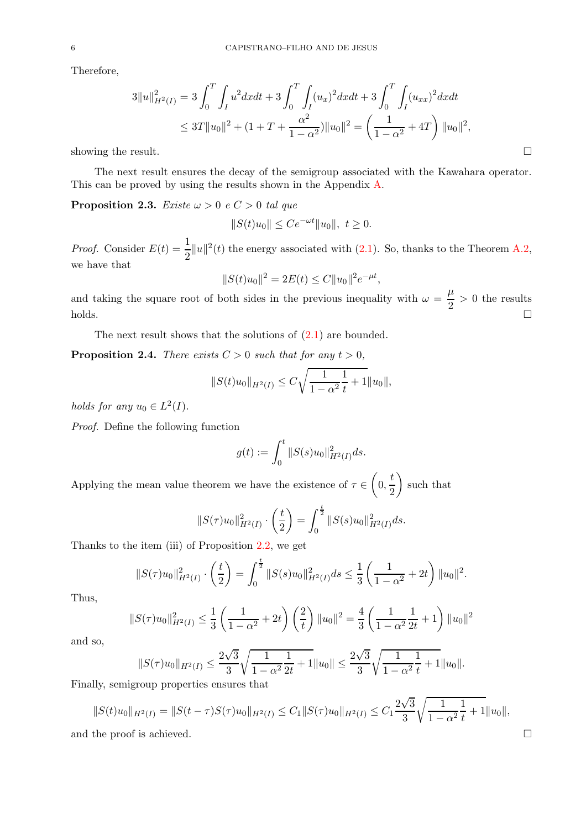Therefore,

$$
3||u||_{H^{2}(I)}^{2} = 3\int_{0}^{T} \int_{I} u^{2}dxdt + 3\int_{0}^{T} \int_{I} (u_{x})^{2}dxdt + 3\int_{0}^{T} \int_{I} (u_{xx})^{2}dxdt
$$
  

$$
\leq 3T||u_{0}||^{2} + (1 + T + \frac{\alpha^{2}}{1 - \alpha^{2}})||u_{0}||^{2} = \left(\frac{1}{1 - \alpha^{2}} + 4T\right)||u_{0}||^{2},
$$
  
showing the result.

The next result ensures the decay of the semigroup associated with the Kawahara operator. This can be proved by using the results shown in the Appendix [A.](#page-15-0)

<span id="page-5-0"></span>**Proposition 2.3.** Existe  $\omega > 0$  e  $C > 0$  tal que

$$
||S(t)u_0|| \le Ce^{-\omega t}||u_0||, \ t \ge 0.
$$

*Proof.* Consider  $E(t) = \frac{1}{2} ||u||^2(t)$  the energy associated with [\(2.1\)](#page-3-4). So, thanks to the Theorem [A.2,](#page-16-0) we have that

$$
||S(t)u_0||^2 = 2E(t) \le C||u_0||^2 e^{-\mu t},
$$

and taking the square root of both sides in the previous inequality with  $\omega = \frac{\mu}{2}$  $\frac{\mu}{2} > 0$  the results  $\Box$ holds.

The next result shows that the solutions of  $(2.1)$  are bounded.

<span id="page-5-1"></span>**Proposition 2.4.** There exists  $C > 0$  such that for any  $t > 0$ ,

$$
||S(t)u_0||_{H^2(I)} \leq C\sqrt{\frac{1}{1-\alpha^2}\frac{1}{t}+1}||u_0||,
$$

holds for any  $u_0 \in L^2(I)$ .

Proof. Define the following function

$$
g(t) := \int_0^t \|S(s)u_0\|_{H^2(I)}^2 ds.
$$

Applying the mean value theorem we have the existence of  $\tau \in \left(0, \frac{t}{2}\right)$ 2 such that

$$
||S(\tau)u_0||_{H^2(I)}^2 \cdot \left(\frac{t}{2}\right) = \int_0^{\frac{t}{2}} ||S(s)u_0||_{H^2(I)}^2 ds.
$$

Thanks to the item (iii) of Proposition [2.2,](#page-4-0) we get

$$
||S(\tau)u_0||_{H^2(I)}^2 \cdot \left(\frac{t}{2}\right) = \int_0^{\frac{t}{2}} ||S(s)u_0||_{H^2(I)}^2 ds \leq \frac{1}{3} \left(\frac{1}{1-\alpha^2} + 2t\right) ||u_0||^2.
$$

Thus,

$$
||S(\tau)u_0||_{H^2(I)}^2 \le \frac{1}{3} \left(\frac{1}{1-\alpha^2} + 2t\right) \left(\frac{2}{t}\right) ||u_0||^2 = \frac{4}{3} \left(\frac{1}{1-\alpha^2} \frac{1}{2t} + 1\right) ||u_0||^2
$$

and so,

$$
||S(\tau)u_0||_{H^2(I)} \le \frac{2\sqrt{3}}{3}\sqrt{\frac{1}{1-\alpha^2}\frac{1}{2t}+1}||u_0|| \le \frac{2\sqrt{3}}{3}\sqrt{\frac{1}{1-\alpha^2}\frac{1}{t}+1}||u_0||.
$$
  
From properties ensures that

Finally, semigroup properties ensures that

$$
||S(t)u_0||_{H^2(I)} = ||S(t-\tau)S(\tau)u_0||_{H^2(I)} \le C_1 ||S(\tau)u_0||_{H^2(I)} \le C_1 \frac{2\sqrt{3}}{3} \sqrt{\frac{1}{1-\alpha^2}} \frac{1}{t} + 1||u_0||,
$$
  
and the proof is achieved.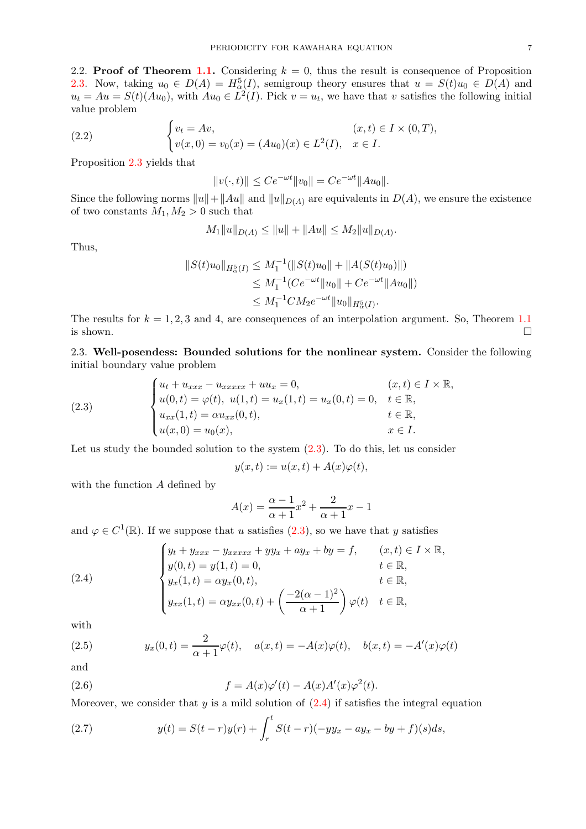2.2. **Proof of Theorem [1.1.](#page-2-1)** Considering  $k = 0$ , thus the result is consequence of Proposition [2.3.](#page-5-0) Now, taking  $u_0 \in D(A) = H^5_{\alpha}(I)$ , semigroup theory ensures that  $u = S(t)u_0 \in D(A)$  and  $u_t = Au = S(t)(Au_0)$ , with  $Au_0 \in L^2(I)$ . Pick  $v = u_t$ , we have that v satisfies the following initial value problem

(2.2) 
$$
\begin{cases} v_t = Av, & (x, t) \in I \times (0, T), \\ v(x, 0) = v_0(x) = (Au_0)(x) \in L^2(I), & x \in I. \end{cases}
$$

Proposition [2.3](#page-5-0) yields that

 $||v(\cdot, t)|| \le Ce^{-\omega t} ||v_0|| = Ce^{-\omega t} ||Au_0||.$ 

Since the following norms  $||u||+||Au||$  and  $||u||_{D(A)}$  are equivalents in  $D(A)$ , we ensure the existence of two constants  $M_1, M_2 > 0$  such that

$$
M_1||u||_{D(A)} \le ||u|| + ||Au|| \le M_2||u||_{D(A)}.
$$

Thus,

$$
||S(t)u_0||_{H^5_{\alpha}(I)} \leq M_1^{-1}(||S(t)u_0|| + ||A(S(t)u_0)||)
$$
  
\n
$$
\leq M_1^{-1}(Ce^{-\omega t}||u_0|| + Ce^{-\omega t}||Au_0||)
$$
  
\n
$$
\leq M_1^{-1}CM_2e^{-\omega t}||u_0||_{H^5_{\alpha}(I)}.
$$

The results for  $k = 1, 2, 3$  and 4, are consequences of an interpolation argument. So, Theorem [1.1](#page-2-1) is shown.  $\square$ 

2.3. Well-posendess: Bounded solutions for the nonlinear system. Consider the following initial boundary value problem

<span id="page-6-0"></span>(2.3) 
$$
\begin{cases} u_t + u_{xxx} - u_{xxxxx} + uu_x = 0, & (x, t) \in I \times \mathbb{R}, \\ u(0, t) = \varphi(t), \ u(1, t) = u_x(1, t) = u_x(0, t) = 0, & t \in \mathbb{R}, \\ u_{xx}(1, t) = \alpha u_{xx}(0, t), & t \in \mathbb{R}, \\ u(x, 0) = u_0(x), & x \in I. \end{cases}
$$

Let us study the bounded solution to the system  $(2.3)$ . To do this, let us consider

$$
y(x,t) := u(x,t) + A(x)\varphi(t),
$$

with the function A defined by

$$
A(x) = \frac{\alpha - 1}{\alpha + 1}x^2 + \frac{2}{\alpha + 1}x - 1
$$

and  $\varphi \in C^1(\mathbb{R})$ . If we suppose that u satisfies  $(2.3)$ , so we have that y satisfies

<span id="page-6-1"></span>(2.4) 
$$
\begin{cases} y_t + y_{xxx} - y_{xxxxx} + yy_x + ay_x + by = f, & (x, t) \in I \times \mathbb{R}, \\ y(0, t) = y(1, t) = 0, & t \in \mathbb{R}, \\ y_x(1, t) = \alpha y_x(0, t), & t \in \mathbb{R}, \\ y_{xx}(1, t) = \alpha y_{xx}(0, t) + \left(\frac{-2(\alpha - 1)^2}{\alpha + 1}\right) \varphi(t) & t \in \mathbb{R}, \end{cases}
$$

with

<span id="page-6-2"></span>(2.5) 
$$
y_x(0,t) = \frac{2}{\alpha+1} \varphi(t), \quad a(x,t) = -A(x)\varphi(t), \quad b(x,t) = -A'(x)\varphi(t)
$$

and

<span id="page-6-3"></span>(2.6) 
$$
f = A(x)\varphi'(t) - A(x)A'(x)\varphi^{2}(t).
$$

Moreover, we consider that  $y$  is a mild solution of  $(2.4)$  if satisfies the integral equation

(2.7) 
$$
y(t) = S(t-r)y(r) + \int_r^t S(t-r)(-yy_x - ay_x - by + f)(s)ds,
$$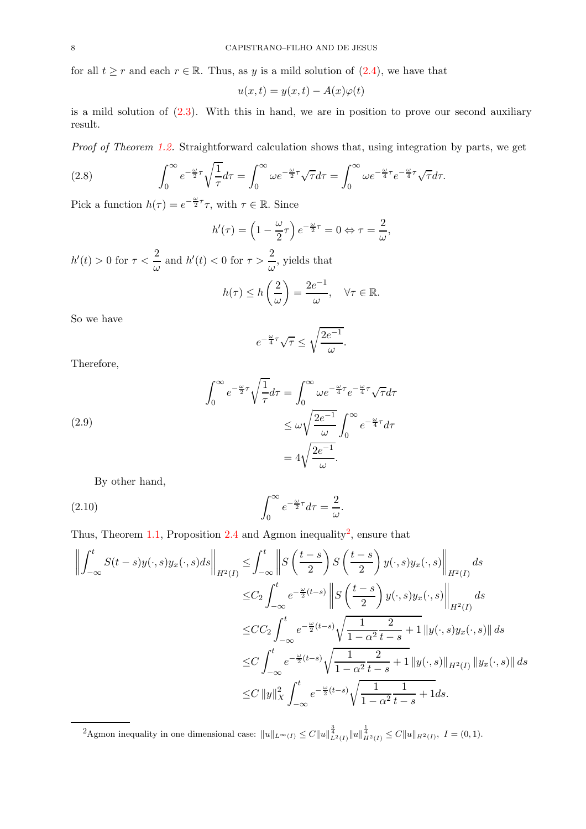for all  $t \geq r$  and each  $r \in \mathbb{R}$ . Thus, as y is a mild solution of  $(2.4)$ , we have that

$$
u(x,t) = y(x,t) - A(x)\varphi(t)
$$

is a mild solution of [\(2.3\)](#page-6-0). With this in hand, we are in position to prove our second auxiliary result.

Proof of Theorem [1.2.](#page-2-0) Straightforward calculation shows that, using integration by parts, we get

(2.8) 
$$
\int_0^\infty e^{-\frac{\omega}{2}\tau} \sqrt{\frac{1}{\tau}} d\tau = \int_0^\infty \omega e^{-\frac{\omega}{2}\tau} \sqrt{\tau} d\tau = \int_0^\infty \omega e^{-\frac{\omega}{4}\tau} e^{-\frac{\omega}{4}\tau} \sqrt{\tau} d\tau.
$$

Pick a function  $h(\tau) = e^{-\frac{\omega}{2}\tau}\tau$ , with  $\tau \in \mathbb{R}$ . Since

$$
h'(\tau) = \left(1 - \frac{\omega}{2}\tau\right)e^{-\frac{\omega}{2}\tau} = 0 \Leftrightarrow \tau = \frac{2}{\omega},
$$

 $h'(t) > 0$  for  $\tau < \frac{2}{\tau}$  $\frac{2}{\omega}$  and  $h'(t) < 0$  for  $\tau > \frac{2}{\omega}$  $\frac{2}{\omega}$ , yields that

$$
h(\tau) \le h\left(\frac{2}{\omega}\right) = \frac{2e^{-1}}{\omega}, \quad \forall \tau \in \mathbb{R}.
$$

So we have

$$
e^{-\frac{\omega}{4}\tau}\sqrt{\tau} \le \sqrt{\frac{2e^{-1}}{\omega}}.
$$

Therefore,

(2.9)  
\n
$$
\int_0^\infty e^{-\frac{\omega}{2}\tau} \sqrt{\frac{1}{\tau}} d\tau = \int_0^\infty \omega e^{-\frac{\omega}{4}\tau} e^{-\frac{\omega}{4}\tau} \sqrt{\tau} d\tau
$$
\n
$$
\leq \omega \sqrt{\frac{2e^{-1}}{\omega}} \int_0^\infty e^{-\frac{\omega}{4}\tau} d\tau
$$
\n
$$
= 4\sqrt{\frac{2e^{-1}}{\omega}}.
$$

By other hand,

(2.10) 
$$
\int_0^\infty e^{-\frac{\omega}{2}\tau} d\tau = \frac{2}{\omega}.
$$

Thus, Theorem [1.1,](#page-2-1) Proposition [2.4](#page-5-1) and Agmon inequality<sup>[2](#page-7-0)</sup>, ensure that

$$
\left\| \int_{-\infty}^{t} S(t-s)y(\cdot,s)y_x(\cdot,s)ds \right\|_{H^2(I)} \leq \int_{-\infty}^{t} \left\| S\left(\frac{t-s}{2}\right)S\left(\frac{t-s}{2}\right)y(\cdot,s)y_x(\cdot,s) \right\|_{H^2(I)} ds
$$
  

$$
\leq C_2 \int_{-\infty}^{t} e^{-\frac{\omega}{2}(t-s)} \left\| S\left(\frac{t-s}{2}\right) y(\cdot,s)y_x(\cdot,s) \right\|_{H^2(I)} ds
$$
  

$$
\leq CC_2 \int_{-\infty}^{t} e^{-\frac{\omega}{2}(t-s)} \sqrt{\frac{1}{1-\alpha^2} \frac{2}{t-s}} + 1 \left\| y(\cdot,s)y_x(\cdot,s) \right\| ds
$$
  

$$
\leq C \int_{-\infty}^{t} e^{-\frac{\omega}{2}(t-s)} \sqrt{\frac{1}{1-\alpha^2} \frac{2}{t-s}} + 1 \left\| y(\cdot,s) \right\|_{H^2(I)} \left\| y_x(\cdot,s) \right\| ds
$$
  

$$
\leq C \left\| y \right\|_X^2 \int_{-\infty}^{t} e^{-\frac{\omega}{2}(t-s)} \sqrt{\frac{1}{1-\alpha^2} \frac{1}{t-s}} + 1 ds.
$$

<span id="page-7-0"></span><sup>2</sup>Agmon inequality in one dimensional case:  $||u||_{L^{\infty}(I)} \leq C ||u||_{L^{2}(I)}^{\frac{3}{4}} ||u||_{H^{2}(I)}^{\frac{1}{4}} \leq C ||u||_{H^{2}(I)},$  *I* = (0, 1).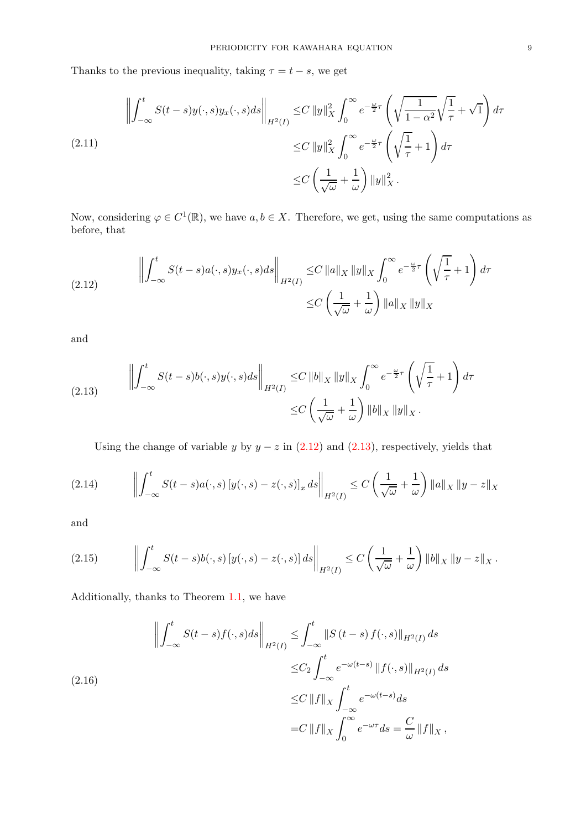Thanks to the previous inequality, taking  $\tau = t - s$ , we get

<span id="page-8-2"></span>
$$
\left\| \int_{-\infty}^{t} S(t-s)y(\cdot,s)y_x(\cdot,s)ds \right\|_{H^2(I)} \leq C \left\| y \right\|_{X}^{2} \int_{0}^{\infty} e^{-\frac{\omega}{2}\tau} \left( \sqrt{\frac{1}{1-\alpha^2}} \sqrt{\frac{1}{\tau}} + \sqrt{1} \right) d\tau
$$
\n
$$
\leq C \left\| y \right\|_{X}^{2} \int_{0}^{\infty} e^{-\frac{\omega}{2}\tau} \left( \sqrt{\frac{1}{\tau}} + 1 \right) d\tau
$$
\n
$$
\leq C \left( \frac{1}{\sqrt{\omega}} + \frac{1}{\omega} \right) \left\| y \right\|_{X}^{2}.
$$

Now, considering  $\varphi \in C^1(\mathbb{R})$ , we have  $a, b \in X$ . Therefore, we get, using the same computations as before, that

<span id="page-8-0"></span>(2.12) 
$$
\left\| \int_{-\infty}^{t} S(t-s)a(\cdot,s)y_x(\cdot,s)ds \right\|_{H^2(I)} \leq C \left\| a \right\|_{X} \left\| y \right\|_{X} \int_{0}^{\infty} e^{-\frac{\omega}{2}\tau} \left( \sqrt{\frac{1}{\tau}} + 1 \right) d\tau
$$

$$
\leq C \left( \frac{1}{\sqrt{\omega}} + \frac{1}{\omega} \right) \left\| a \right\|_{X} \left\| y \right\|_{X}
$$

and

<span id="page-8-1"></span>(2.13) 
$$
\left\| \int_{-\infty}^{t} S(t-s)b(\cdot,s)y(\cdot,s)ds \right\|_{H^2(I)} \leq C \left\| b \right\|_{X} \left\| y \right\|_{X} \int_{0}^{\infty} e^{-\frac{\omega}{2}\tau} \left( \sqrt{\frac{1}{\tau}} + 1 \right) d\tau
$$

$$
\leq C \left( \frac{1}{\sqrt{\omega}} + \frac{1}{\omega} \right) \left\| b \right\|_{X} \left\| y \right\|_{X}.
$$

<span id="page-8-4"></span>Using the change of variable y by  $y - z$  in [\(2.12\)](#page-8-0) and [\(2.13\)](#page-8-1), respectively, yields that

$$
(2.14) \qquad \left\| \int_{-\infty}^t S(t-s) a(\cdot, s) \left[ y(\cdot, s) - z(\cdot, s) \right]_x ds \right\|_{H^2(I)} \le C \left( \frac{1}{\sqrt{\omega}} + \frac{1}{\omega} \right) \|a\|_X \|y - z\|_X
$$

and

<span id="page-8-5"></span>
$$
(2.15) \qquad \left\| \int_{-\infty}^t S(t-s)b(\cdot,s) \left[ y(\cdot,s) - z(\cdot,s) \right] ds \right\|_{H^2(I)} \leq C \left( \frac{1}{\sqrt{\omega}} + \frac{1}{\omega} \right) \left\| b \right\|_X \left\| y - z \right\|_X.
$$

Additionally, thanks to Theorem [1.1,](#page-2-1) we have

<span id="page-8-3"></span>
$$
\left\| \int_{-\infty}^{t} S(t-s)f(\cdot,s)ds \right\|_{H^{2}(I)} \leq \int_{-\infty}^{t} \|S(t-s)f(\cdot,s)\|_{H^{2}(I)} ds
$$
  

$$
\leq C_{2} \int_{-\infty}^{t} e^{-\omega(t-s)} \|f(\cdot,s)\|_{H^{2}(I)} ds
$$
  

$$
\leq C \|f\|_{X} \int_{-\infty}^{t} e^{-\omega(t-s)} ds
$$
  

$$
= C \|f\|_{X} \int_{0}^{\infty} e^{-\omega\tau} ds = \frac{C}{\omega} \|f\|_{X},
$$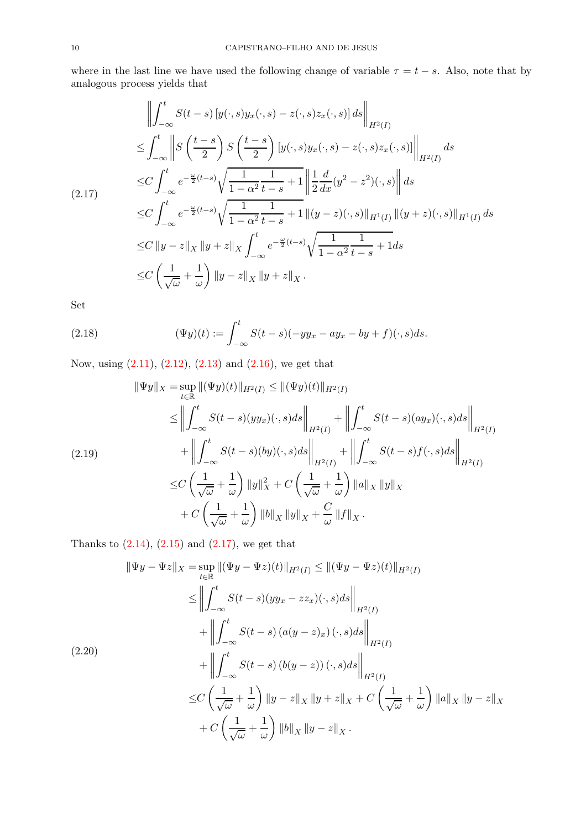where in the last line we have used the following change of variable  $\tau = t - s$ . Also, note that by analogous process yields that

<span id="page-9-0"></span>
$$
\left\| \int_{-\infty}^{t} S(t-s) \left[ y(\cdot,s) y_x(\cdot,s) - z(\cdot,s) z_x(\cdot,s) \right] ds \right\|_{H^2(I)}
$$
  
\n
$$
\leq \int_{-\infty}^{t} \left\| S \left( \frac{t-s}{2} \right) S \left( \frac{t-s}{2} \right) \left[ y(\cdot,s) y_x(\cdot,s) - z(\cdot,s) z_x(\cdot,s) \right] \right\|_{H^2(I)}
$$
  
\n
$$
\leq C \int_{-\infty}^{t} e^{-\frac{\omega}{2}(t-s)} \sqrt{\frac{1}{1-\alpha^2 t-s}} + 1 \left\| \frac{1}{2} \frac{d}{dx} (y^2 - z^2)(\cdot,s) \right\| ds
$$
  
\n
$$
\leq C \int_{-\infty}^{t} e^{-\frac{\omega}{2}(t-s)} \sqrt{\frac{1}{1-\alpha^2 t-s}} + 1 \left\| (y-z)(\cdot,s) \right\|_{H^1(I)} \left\| (y+z)(\cdot,s) \right\|_{H^1(I)} ds
$$
  
\n
$$
\leq C \left\| y-z \right\|_X \left\| y+z \right\|_X \int_{-\infty}^{t} e^{-\frac{\omega}{2}(t-s)} \sqrt{\frac{1}{1-\alpha^2 t-s}} + 1 ds
$$
  
\n
$$
\leq C \left( \frac{1}{\sqrt{\omega}} + \frac{1}{\omega} \right) \left\| y-z \right\|_X \left\| y+z \right\|_X.
$$

Set

(2.18) 
$$
(\Psi y)(t) := \int_{-\infty}^{t} S(t-s)(-yy_x - ay_x - by + f)(\cdot, s)ds.
$$

Now, using [\(2.11\)](#page-8-2), [\(2.12\)](#page-8-0), [\(2.13\)](#page-8-1) and [\(2.16\)](#page-8-3), we get that

$$
\|\Psi y\|_{X} = \sup_{t \in \mathbb{R}} \|(\Psi y)(t)\|_{H^{2}(I)} \le \|(\Psi y)(t)\|_{H^{2}(I)}
$$
  
\n
$$
\le \left\| \int_{-\infty}^{t} S(t-s)(yy_{x})(\cdot,s)ds \right\|_{H^{2}(I)} + \left\| \int_{-\infty}^{t} S(t-s)(ay_{x})(\cdot,s)ds \right\|_{H^{2}(I)}
$$
  
\n(2.19)  
\n
$$
\le C \left( \frac{1}{\sqrt{\omega}} + \frac{1}{\omega} \right) \|y\|_{X}^{2} + C \left( \frac{1}{\sqrt{\omega}} + \frac{1}{\omega} \right) \|a\|_{X} \|y\|_{X}
$$
  
\n
$$
+ C \left( \frac{1}{\sqrt{\omega}} + \frac{1}{\omega} \right) \|b\|_{X} \|y\|_{X} + \frac{C}{\omega} \|f\|_{X}.
$$

Thanks to  $(2.14)$ ,  $(2.15)$  and  $(2.17)$ , we get that

$$
\|\Psi y - \Psi z\|_{X} = \sup_{t \in \mathbb{R}} \|(\Psi y - \Psi z)(t)\|_{H^{2}(I)} \le \|(\Psi y - \Psi z)(t)\|_{H^{2}(I)}
$$
  
\n
$$
\le \left\| \int_{-\infty}^{t} S(t - s)(yy_{x} - zz_{x})(\cdot, s)ds \right\|_{H^{2}(I)}
$$
  
\n
$$
+ \left\| \int_{-\infty}^{t} S(t - s) (a(y - z)_{x}) (\cdot, s)ds \right\|_{H^{2}(I)}
$$
  
\n
$$
+ \left\| \int_{-\infty}^{t} S(t - s) (b(y - z)) (\cdot, s)ds \right\|_{H^{2}(I)}
$$
  
\n
$$
\le C \left( \frac{1}{\sqrt{\omega}} + \frac{1}{\omega} \right) \|y - z\|_{X} \|y + z\|_{X} + C \left( \frac{1}{\sqrt{\omega}} + \frac{1}{\omega} \right) \|a\|_{X} \|y - z\|_{X}
$$
  
\n
$$
+ C \left( \frac{1}{\sqrt{\omega}} + \frac{1}{\omega} \right) \|b\|_{X} \|y - z\|_{X}.
$$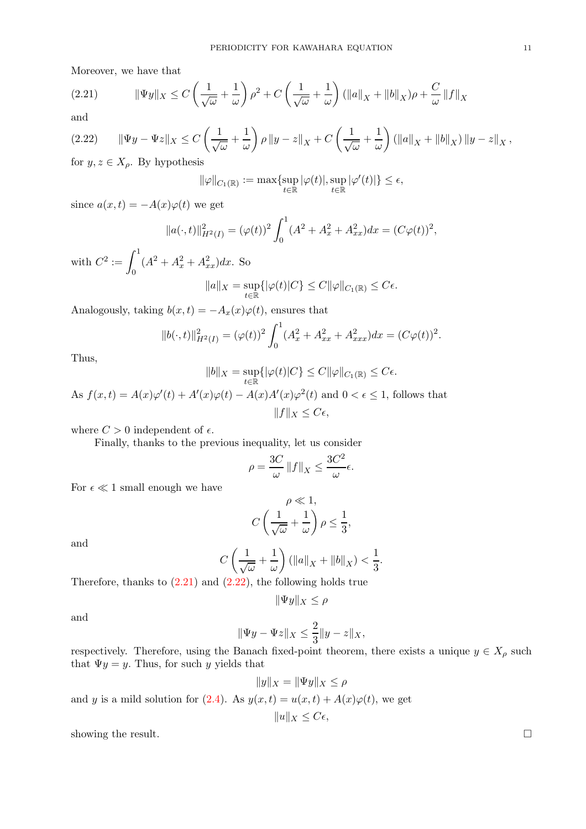Moreover, we have that

<span id="page-10-0"></span>(2.21) 
$$
\|\Psi y\|_X \le C\left(\frac{1}{\sqrt{\omega}} + \frac{1}{\omega}\right)\rho^2 + C\left(\frac{1}{\sqrt{\omega}} + \frac{1}{\omega}\right)(\|a\|_X + \|b\|_X)\rho + \frac{C}{\omega}\|f\|_X
$$

and

<span id="page-10-1"></span>
$$
(2.22)\qquad \|\Psi y - \Psi z\|_X \le C\left(\frac{1}{\sqrt{\omega}} + \frac{1}{\omega}\right)\rho\|y - z\|_X + C\left(\frac{1}{\sqrt{\omega}} + \frac{1}{\omega}\right)(\|a\|_X + \|b\|_X)\|y - z\|_X,
$$
  
for  $y \in X$ . By hypothesis

for  $y, z \in X_\rho$ . By hypothesis

$$
\|\varphi\|_{C_1(\mathbb{R})} := \max \{ \sup_{t \in \mathbb{R}} |\varphi(t)|, \sup_{t \in \mathbb{R}} |\varphi'(t)| \} \le \epsilon,
$$

since  $a(x, t) = -A(x)\varphi(t)$  we get

$$
||a(\cdot,t)||_{H^2(I)}^2 = (\varphi(t))^2 \int_0^1 (A^2 + A_x^2 + A_{xx}^2) dx = (C\varphi(t))^2,
$$

with  $C^2 := \int_0^1$ 0  $(A^2 + A_x^2 + A_{xx}^2)dx$ . So

$$
||a||_X = \sup_{t \in \mathbb{R}} \{ |\varphi(t)|C \} \le C ||\varphi||_{C_1(\mathbb{R})} \le C\epsilon.
$$

Analogously, taking  $b(x, t) = -A_x(x)\varphi(t)$ , ensures that

$$
||b(\cdot,t)||_{H^2(I)}^2 = (\varphi(t))^2 \int_0^1 (A_x^2 + A_{xx}^2 + A_{xxx}^2) dx = (C\varphi(t))^2.
$$

Thus,

$$
||b||_X = \sup_{t \in \mathbb{R}} \{ |\varphi(t)|C \} \le C ||\varphi||_{C_1(\mathbb{R})} \le C\epsilon.
$$

As  $f(x,t) = A(x)\varphi'(t) + A'(x)\varphi(t) - A(x)A'(x)\varphi^{2}(t)$  and  $0 < \epsilon \leq 1$ , follows that  $||f||_X \leq C\epsilon,$ 

where  $C > 0$  independent of  $\epsilon$ .

Finally, thanks to the previous inequality, let us consider

$$
\rho = \frac{3C}{\omega} \left\| f \right\|_X \le \frac{3C^2}{\omega} \epsilon.
$$

For  $\epsilon \ll 1$  small enough we have

$$
\rho \ll 1,
$$
  

$$
C\left(\frac{1}{\sqrt{\omega}} + \frac{1}{\omega}\right)\rho \le \frac{1}{3},
$$

and

$$
C\left(\frac{1}{\sqrt{\omega}}+\frac{1}{\omega}\right)(\|a\|_X+\|b\|_X)<\frac{1}{3}.
$$

Therefore, thanks to  $(2.21)$  and  $(2.22)$ , the following holds true

$$
\|\Psi y\|_X \le \rho
$$

and

$$
\|\Psi y - \Psi z\|_X \le \frac{2}{3} \|y - z\|_X,
$$

respectively. Therefore, using the Banach fixed-point theorem, there exists a unique  $y \in X_\rho$  such that  $\Psi y = y$ . Thus, for such y yields that

$$
||y||_X = ||\Psi y||_X \le \rho
$$

and y is a mild solution for [\(2.4\)](#page-6-1). As  $y(x,t) = u(x,t) + A(x)\varphi(t)$ , we get

$$
||u||_X \leq C\epsilon,
$$

showing the result.  $\square$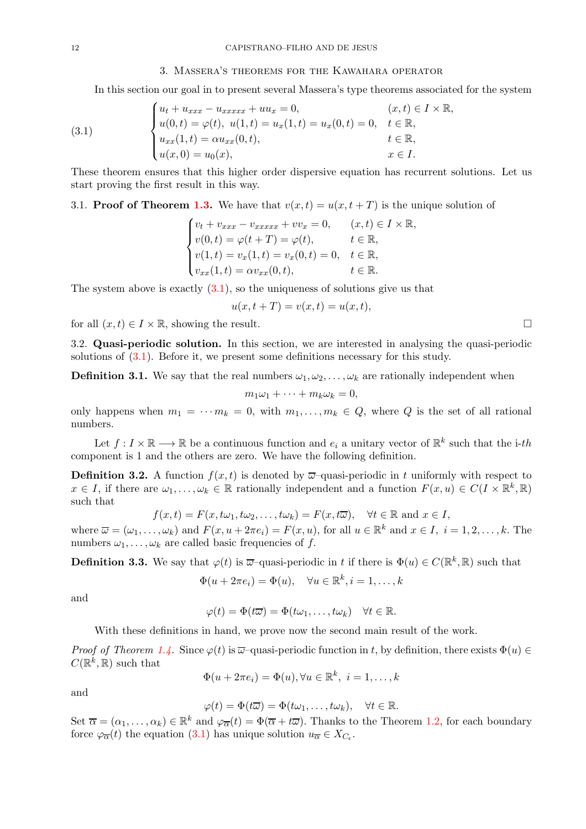#### <span id="page-11-1"></span>3. Massera's theorems for the Kawahara operator

<span id="page-11-0"></span>In this section our goal in to present several Massera's type theorems associated for the system

(3.1) 
$$
\begin{cases} u_t + u_{xxx} - u_{xxxxx} + uu_x = 0, & (x, t) \in I \times \mathbb{R}, \\ u(0, t) = \varphi(t), u(1, t) = u_x(1, t) = u_x(0, t) = 0, & t \in \mathbb{R}, \\ u_{xx}(1, t) = \alpha u_{xx}(0, t), & t \in \mathbb{R}, \\ u(x, 0) = u_0(x), & x \in I. \end{cases}
$$

These theorem ensures that this higher order dispersive equation has recurrent solutions. Let us start proving the first result in this way.

## 3.1. **Proof of Theorem [1.3.](#page-3-1)** We have that  $v(x,t) = u(x,t+T)$  is the unique solution of

$$
\begin{cases}\nv_t + v_{xxx} - v_{xxxxx} + vv_x = 0, & (x, t) \in I \times \mathbb{R}, \\
v(0, t) = \varphi(t + T) = \varphi(t), & t \in \mathbb{R}, \\
v(1, t) = v_x(1, t) = v_x(0, t) = 0, & t \in \mathbb{R}, \\
v_{xx}(1, t) = \alpha v_{xx}(0, t), & t \in \mathbb{R}.\n\end{cases}
$$

The system above is exactly  $(3.1)$ , so the uniqueness of solutions give us that

$$
u(x, t+T) = v(x,t) = u(x,t),
$$

for all  $(x, t) \in I \times \mathbb{R}$ , showing the result.

3.2. Quasi-periodic solution. In this section, we are interested in analysing the quasi-periodic solutions of [\(3.1\)](#page-11-1). Before it, we present some definitions necessary for this study.

**Definition 3.1.** We say that the real numbers  $\omega_1, \omega_2, \ldots, \omega_k$  are rationally independent when

$$
m_1\omega_1 + \cdots + m_k\omega_k = 0,
$$

only happens when  $m_1 = \cdots m_k = 0$ , with  $m_1, \ldots, m_k \in Q$ , where Q is the set of all rational numbers.

Let  $f: I \times \mathbb{R} \longrightarrow \mathbb{R}$  be a continuous function and  $e_i$  a unitary vector of  $\mathbb{R}^k$  such that the i-th component is 1 and the others are zero. We have the following definition.

**Definition 3.2.** A function  $f(x, t)$  is denoted by  $\overline{\omega}$ -quasi-periodic in t uniformly with respect to  $x \in I$ , if there are  $\omega_1, \ldots, \omega_k \in \mathbb{R}$  rationally independent and a function  $F(x, u) \in C(I \times \mathbb{R}^k, \mathbb{R})$ such that

$$
f(x,t) = F(x, t\omega_1, t\omega_2, \dots, t\omega_k) = F(x, t\overline{\omega}), \quad \forall t \in \mathbb{R} \text{ and } x \in I,
$$

where  $\overline{\omega} = (\omega_1, \dots, \omega_k)$  and  $F(x, u + 2\pi e_i) = F(x, u)$ , for all  $u \in \mathbb{R}^k$  and  $x \in I$ ,  $i = 1, 2, \dots, k$ . The numbers  $\omega_1, \ldots, \omega_k$  are called basic frequencies of f.

**Definition 3.3.** We say that  $\varphi(t)$  is  $\overline{\omega}$ -quasi-periodic in t if there is  $\Phi(u) \in C(\mathbb{R}^k, \mathbb{R})$  such that

$$
\Phi(u + 2\pi e_i) = \Phi(u), \quad \forall u \in \mathbb{R}^k, i = 1, \dots, k
$$

and

$$
\varphi(t) = \Phi(t\overline{\omega}) = \Phi(t\omega_1, \dots, t\omega_k) \quad \forall t \in \mathbb{R}.
$$

With these definitions in hand, we prove now the second main result of the work.

*Proof of Theorem [1.4.](#page-3-2)* Since  $\varphi(t)$  is  $\overline{\omega}$ -quasi-periodic function in t, by definition, there exists  $\Phi(u) \in$  $C(\mathbb{R}^k,\mathbb{R})$  such that

$$
\Phi(u + 2\pi e_i) = \Phi(u), \forall u \in \mathbb{R}^k, \ i = 1, \dots, k
$$

and

$$
\varphi(t) = \Phi(t\overline{\omega}) = \Phi(t\omega_1,\ldots,t\omega_k), \quad \forall t \in \mathbb{R}.
$$

Set  $\overline{\alpha} = (\alpha_1, \dots, \alpha_k) \in \mathbb{R}^k$  and  $\varphi_{\overline{\alpha}}(t) = \Phi(\overline{\alpha} + t\overline{\omega})$ . Thanks to the Theorem [1.2,](#page-2-0) for each boundary force  $\varphi_{\overline{\alpha}}(t)$  the equation  $(3.1)$  has unique solution  $u_{\overline{\alpha}} \in X_{C_{\epsilon}}$ .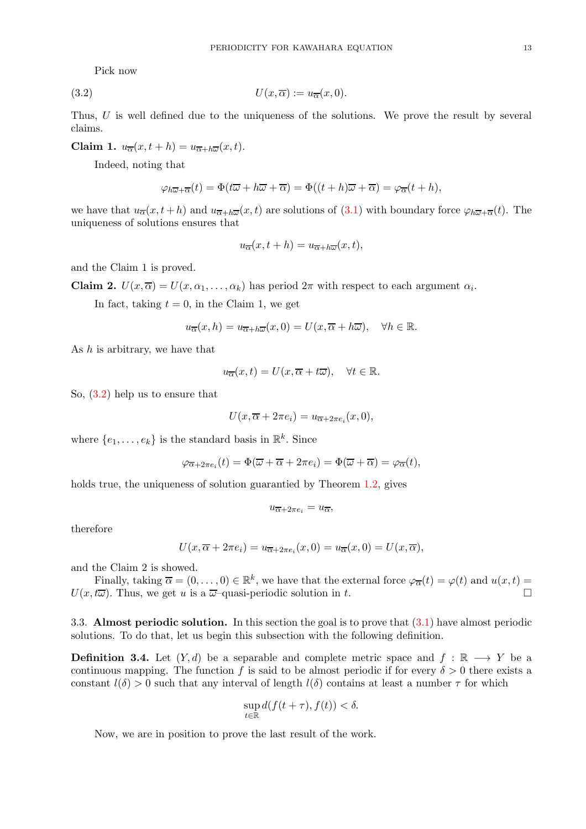Pick now

$$
(3.2) \t\t\t U(x,\overline{\alpha}) := u_{\overline{\alpha}}(x,0).
$$

Thus, U is well defined due to the uniqueness of the solutions. We prove the result by several claims.

Claim 1.  $u_{\overline{\alpha}}(x, t+h) = u_{\overline{\alpha}+h\overline{\omega}}(x, t)$ .

Indeed, noting that

<span id="page-12-0"></span>
$$
\varphi_{h\overline{\omega}+\overline{\alpha}}(t)=\Phi(t\overline{\omega}+h\overline{\omega}+\overline{\alpha})=\Phi((t+h)\overline{\omega}+\overline{\alpha})=\varphi_{\overline{\alpha}}(t+h),
$$

we have that  $u_{\overline{\alpha}}(x, t + h)$  and  $u_{\overline{\alpha} + h\overline{\omega}}(x, t)$  are solutions of [\(3.1\)](#page-11-1) with boundary force  $\varphi_{h\overline{\omega} + \overline{\alpha}}(t)$ . The uniqueness of solutions ensures that

$$
u_{\overline{\alpha}}(x, t+h) = u_{\overline{\alpha}+h\overline{\omega}}(x, t),
$$

and the Claim 1 is proved.

**Claim 2.**  $U(x,\overline{\alpha})=U(x,\alpha_1,\ldots,\alpha_k)$  has period  $2\pi$  with respect to each argument  $\alpha_i$ .

In fact, taking  $t = 0$ , in the Claim 1, we get

$$
u_{\overline{\alpha}}(x,h) = u_{\overline{\alpha} + h\overline{\omega}}(x,0) = U(x, \overline{\alpha} + h\overline{\omega}), \quad \forall h \in \mathbb{R}.
$$

As  $h$  is arbitrary, we have that

$$
u_{\overline{\alpha}}(x,t) = U(x, \overline{\alpha} + t\overline{\omega}), \quad \forall t \in \mathbb{R}.
$$

So, [\(3.2\)](#page-12-0) help us to ensure that

$$
U(x, \overline{\alpha} + 2\pi e_i) = u_{\overline{\alpha} + 2\pi e_i}(x, 0),
$$

where  $\{e_1, \ldots, e_k\}$  is the standard basis in  $\mathbb{R}^k$ . Since

$$
\varphi_{\overline{\alpha}+2\pi e_i}(t) = \Phi(\overline{\omega} + \overline{\alpha} + 2\pi e_i) = \Phi(\overline{\omega} + \overline{\alpha}) = \varphi_{\overline{\alpha}}(t),
$$

holds true, the uniqueness of solution guarantied by Theorem [1.2,](#page-2-0) gives

$$
u_{\overline{\alpha}+2\pi e_i} = u_{\overline{\alpha}},
$$

therefore

$$
U(x,\overline{\alpha}+2\pi e_i)=u_{\overline{\alpha}+2\pi e_i}(x,0)=u_{\overline{\alpha}}(x,0)=U(x,\overline{\alpha}),
$$

and the Claim 2 is showed.

Finally, taking  $\overline{\alpha} = (0, \ldots, 0) \in \mathbb{R}^k$ , we have that the external force  $\varphi_{\overline{\alpha}}(t) = \varphi(t)$  and  $u(x, t) =$  $U(x, t\overline{\omega})$ . Thus, we get u is a  $\overline{\omega}$ -quasi-periodic solution in t.

3.3. Almost periodic solution. In this section the goal is to prove that [\(3.1\)](#page-11-1) have almost periodic solutions. To do that, let us begin this subsection with the following definition.

**Definition 3.4.** Let  $(Y, d)$  be a separable and complete metric space and  $f : \mathbb{R} \longrightarrow Y$  be a continuous mapping. The function f is said to be almost periodic if for every  $\delta > 0$  there exists a constant  $l(\delta) > 0$  such that any interval of length  $l(\delta)$  contains at least a number  $\tau$  for which

$$
\sup_{t\in\mathbb{R}} d(f(t+\tau), f(t)) < \delta.
$$

Now, we are in position to prove the last result of the work.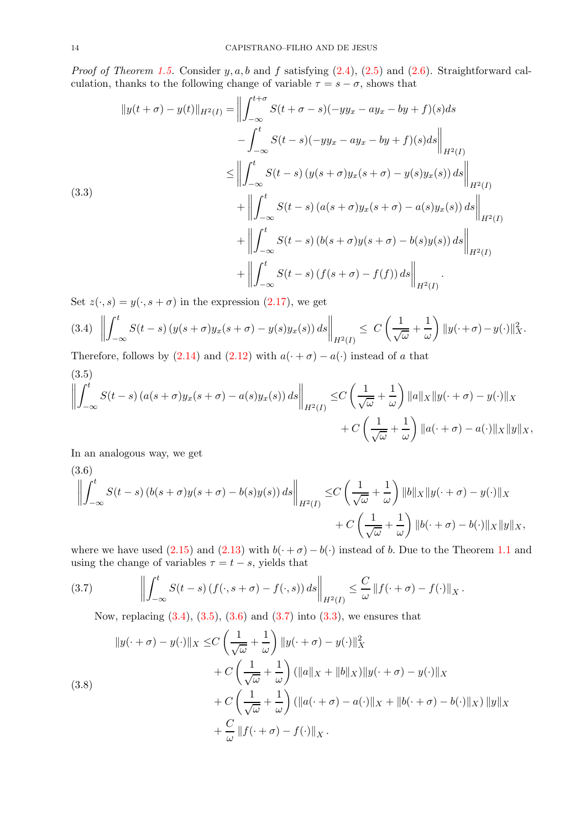*Proof of Theorem [1.5.](#page-3-3)* Consider y, a, b and f satisfying  $(2.4)$ ,  $(2.5)$  and  $(2.6)$ . Straightforward calculation, thanks to the following change of variable  $\tau = s - \sigma$ , shows that

<span id="page-13-4"></span>
$$
||y(t + \sigma) - y(t)||_{H^{2}(I)} = \left\| \int_{-\infty}^{t + \sigma} S(t + \sigma - s)(-yy_{x} - ay_{x} - by + f)(s)ds - \int_{-\infty}^{t} S(t - s)(-yy_{x} - ay_{x} - by + f)(s)ds \right\|_{H^{2}(I)}
$$
  
\n
$$
\leq \left\| \int_{-\infty}^{t} S(t - s) (y(s + \sigma)y_{x}(s + \sigma) - y(s)y_{x}(s)) ds \right\|_{H^{2}(I)}
$$
  
\n
$$
+ \left\| \int_{-\infty}^{t} S(t - s) (a(s + \sigma)y_{x}(s + \sigma) - a(s)y_{x}(s)) ds \right\|_{H^{2}(I)}
$$
  
\n
$$
+ \left\| \int_{-\infty}^{t} S(t - s) (b(s + \sigma)y(s + \sigma) - b(s)y(s)) ds \right\|_{H^{2}(I)}
$$
  
\n
$$
+ \left\| \int_{-\infty}^{t} S(t - s) (f(s + \sigma) - f(f)) ds \right\|_{H^{2}(I)}
$$

Set  $z(\cdot, s) = y(\cdot, s + \sigma)$  in the expression [\(2.17\)](#page-9-0), we get

<span id="page-13-0"></span>
$$
(3.4) \left\| \int_{-\infty}^{t} S(t-s) \left( y(s+\sigma) y_x(s+\sigma) - y(s) y_x(s) \right) ds \right\|_{H^2(I)} \leq C \left( \frac{1}{\sqrt{\omega}} + \frac{1}{\omega} \right) \| y(\cdot + \sigma) - y(\cdot) \|_{X}^2.
$$

Therefore, follows by  $(2.14)$  and  $(2.12)$  with  $a(\cdot + \sigma) - a(\cdot)$  instead of a that

<span id="page-13-1"></span>(3.5)  
\n
$$
\left\| \int_{-\infty}^{t} S(t-s) \left( a(s+\sigma) y_x(s+\sigma) - a(s) y_x(s) \right) ds \right\|_{H^2(I)} \leq C \left( \frac{1}{\sqrt{\omega}} + \frac{1}{\omega} \right) \|a\|_{X} \|y(\cdot + \sigma) - y(\cdot)\|_{X} + C \left( \frac{1}{\sqrt{\omega}} + \frac{1}{\omega} \right) \|a(\cdot + \sigma) - a(\cdot)\|_{X} \|y\|_{X},
$$

In an analogous way, we get

<span id="page-13-2"></span>(3.6)  
\n
$$
\left\| \int_{-\infty}^{t} S(t-s) \left( b(s+\sigma)y(s+\sigma) - b(s)y(s) \right) ds \right\|_{H^{2}(I)} \leq C \left( \frac{1}{\sqrt{\omega}} + \frac{1}{\omega} \right) \|b\|_{X} \|y(\cdot + \sigma) - y(\cdot)\|_{X} + C \left( \frac{1}{\sqrt{\omega}} + \frac{1}{\omega} \right) \|b(\cdot + \sigma) - b(\cdot)\|_{X} \|y\|_{X},
$$

where we have used [\(2.15\)](#page-8-5) and [\(2.13\)](#page-8-1) with  $b(\cdot + \sigma) - b(\cdot)$  instead of b. Due to the Theorem [1.1](#page-2-1) and using the change of variables  $\tau = t - s$ , yields that

(3.7) 
$$
\left\| \int_{-\infty}^t S(t-s) \left( f(\cdot, s + \sigma) - f(\cdot, s) \right) ds \right\|_{H^2(I)} \leq \frac{C}{\omega} \left\| f(\cdot + \sigma) - f(\cdot) \right\|_X.
$$

<span id="page-13-3"></span>Now, replacing  $(3.4)$ ,  $(3.5)$ ,  $(3.6)$  and  $(3.7)$  into  $(3.3)$ , we ensures that

<span id="page-13-5"></span>(3.8)  
\n
$$
||y(\cdot + \sigma) - y(\cdot)||_X \leq C \left(\frac{1}{\sqrt{\omega}} + \frac{1}{\omega}\right) ||y(\cdot + \sigma) - y(\cdot)||_X^2
$$
\n
$$
+ C \left(\frac{1}{\sqrt{\omega}} + \frac{1}{\omega}\right) (||a||_X + ||b||_X) ||y(\cdot + \sigma) - y(\cdot)||_X
$$
\n
$$
+ C \left(\frac{1}{\sqrt{\omega}} + \frac{1}{\omega}\right) (||a(\cdot + \sigma) - a(\cdot)||_X + ||b(\cdot + \sigma) - b(\cdot)||_X) ||y||_X
$$
\n
$$
+ \frac{C}{\omega} ||f(\cdot + \sigma) - f(\cdot)||_X.
$$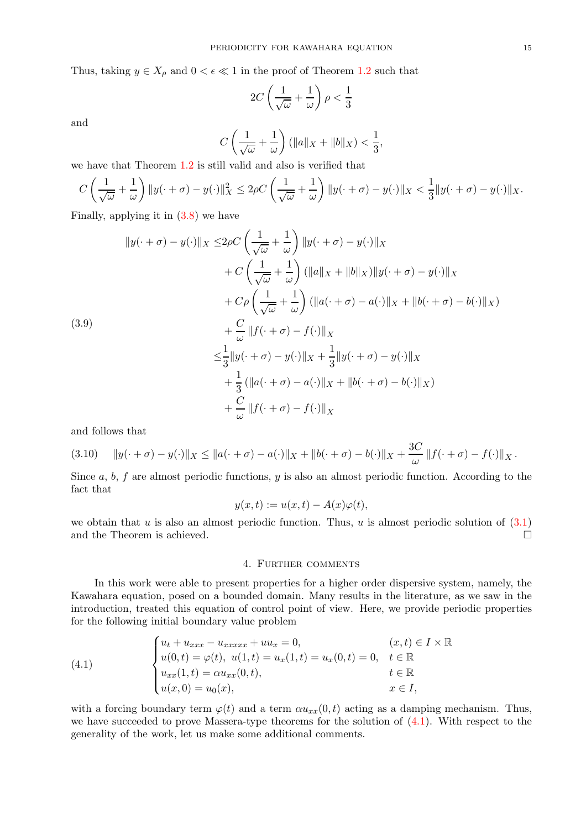Thus, taking  $y \in X_\rho$  and  $0 < \epsilon \ll 1$  in the proof of Theorem [1.2](#page-2-0) such that

$$
2C\left(\frac{1}{\sqrt{\omega}}+\frac{1}{\omega}\right)\rho<\frac{1}{3}
$$

and

$$
C\left(\frac{1}{\sqrt{\omega}}+\frac{1}{\omega}\right)(\|a\|_X+\|b\|_X)<\frac{1}{3},
$$

we have that Theorem [1.2](#page-2-0) is still valid and also is verified that

$$
C\left(\frac{1}{\sqrt{\omega}}+\frac{1}{\omega}\right)\|y(\cdot+\sigma)-y(\cdot)\|_X^2\leq 2\rho C\left(\frac{1}{\sqrt{\omega}}+\frac{1}{\omega}\right)\|y(\cdot+\sigma)-y(\cdot)\|_X<\frac{1}{3}\|y(\cdot+\sigma)-y(\cdot)\|_X.
$$

Finally, applying it in [\(3.8\)](#page-13-5) we have

$$
||y(\cdot + \sigma) - y(\cdot)||_X \le 2\rho C \left(\frac{1}{\sqrt{\omega}} + \frac{1}{\omega}\right) ||y(\cdot + \sigma) - y(\cdot)||_X
$$
  
+ 
$$
C \left(\frac{1}{\sqrt{\omega}} + \frac{1}{\omega}\right) (||a||_X + ||b||_X) ||y(\cdot + \sigma) - y(\cdot)||_X
$$
  
+ 
$$
C\rho \left(\frac{1}{\sqrt{\omega}} + \frac{1}{\omega}\right) (||a(\cdot + \sigma) - a(\cdot)||_X + ||b(\cdot + \sigma) - b(\cdot)||_X)
$$
  
+ 
$$
\frac{C}{\omega} ||f(\cdot + \sigma) - f(\cdot)||_X
$$
  

$$
\le \frac{1}{3} ||y(\cdot + \sigma) - y(\cdot)||_X + \frac{1}{3} ||y(\cdot + \sigma) - y(\cdot)||_X
$$
  
+ 
$$
\frac{1}{3} (||a(\cdot + \sigma) - a(\cdot)||_X + ||b(\cdot + \sigma) - b(\cdot)||_X)
$$
  
+ 
$$
\frac{C}{\omega} ||f(\cdot + \sigma) - f(\cdot)||_X
$$

and follows that

$$
(3.10) \quad \|y(\cdot + \sigma) - y(\cdot)\|_X \le \|a(\cdot + \sigma) - a(\cdot)\|_X + \|b(\cdot + \sigma) - b(\cdot)\|_X + \frac{3C}{\omega} \|f(\cdot + \sigma) - f(\cdot)\|_X.
$$

Since a,  $b, f$  are almost periodic functions, y is also an almost periodic function. According to the fact that

$$
y(x,t) := u(x,t) - A(x)\varphi(t),
$$

<span id="page-14-0"></span>we obtain that u is also an almost periodic function. Thus, u is almost periodic solution of  $(3.1)$ and the Theorem is achieved.

## 4. Further comments

In this work were able to present properties for a higher order dispersive system, namely, the Kawahara equation, posed on a bounded domain. Many results in the literature, as we saw in the introduction, treated this equation of control point of view. Here, we provide periodic properties for the following initial boundary value problem

<span id="page-14-1"></span>(4.1) 
$$
\begin{cases} u_t + u_{xxx} - u_{xxxxx} + uu_x = 0, & (x, t) \in I \times \mathbb{R} \\ u(0, t) = \varphi(t), & u(1, t) = u_x(1, t) = u_x(0, t) = 0, & t \in \mathbb{R} \\ u_{xx}(1, t) = \alpha u_{xx}(0, t), & t \in \mathbb{R} \\ u(x, 0) = u_0(x), & x \in I, \end{cases}
$$

with a forcing boundary term  $\varphi(t)$  and a term  $\alpha u_{xx}(0, t)$  acting as a damping mechanism. Thus, we have succeeded to prove Massera-type theorems for the solution of  $(4.1)$ . With respect to the generality of the work, let us make some additional comments.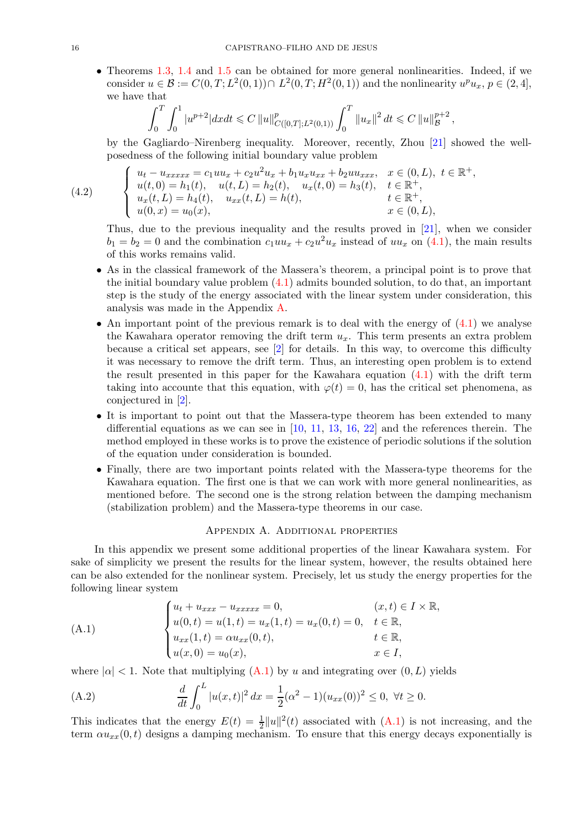• Theorems [1.3,](#page-3-1) [1.4](#page-3-2) and [1.5](#page-3-3) can be obtained for more general nonlinearities. Indeed, if we consider  $u \in \mathcal{B} := C(0, T; L^2(0, 1)) \cap L^2(0, T; H^2(0, 1))$  and the nonlinearity  $u^p u_x, p \in (2, 4]$ , we have that

$$
\int_0^T \int_0^1 |u^{p+2}| dx dt \leq C \|u\|_{C([0,T];L^2(0,1))}^p \int_0^T \|u_x\|^2 dt \leq C \|u\|_{\mathcal{B}}^{p+2},
$$

by the Gagliardo–Nirenberg inequality. Moreover, recently, Zhou [\[21\]](#page-19-0) showed the wellposedness of the following initial boundary value problem

(4.2) 
$$
\begin{cases} u_t - u_{xxxx} = c_1 u u_x + c_2 u^2 u_x + b_1 u_x u_{xx} + b_2 u u_{xxx}, & x \in (0, L), t \in \mathbb{R}^+, \\ u(t, 0) = h_1(t), & u(t, L) = h_2(t), & u_x(t, 0) = h_3(t), & t \in \mathbb{R}^+, \\ u_x(t, L) = h_4(t), & u_{xx}(t, L) = h(t), & t \in \mathbb{R}^+, \\ u(0, x) = u_0(x), & x \in (0, L), \end{cases}
$$

Thus, due to the previous inequality and the results proved in [\[21\]](#page-19-0), when we consider  $b_1 = b_2 = 0$  and the combination  $c_1uu_x + c_2u^2u_x$  instead of  $uu_x$  on [\(4.1\)](#page-14-1), the main results of this works remains valid.

- As in the classical framework of the Massera's theorem, a principal point is to prove that the initial boundary value problem  $(4.1)$  admits bounded solution, to do that, an important step is the study of the energy associated with the linear system under consideration, this analysis was made in the Appendix [A.](#page-15-0)
- An important point of the previous remark is to deal with the energy of  $(4.1)$  we analyse the Kawahara operator removing the drift term  $u_x$ . This term presents an extra problem because a critical set appears, see [\[2\]](#page-18-7) for details. In this way, to overcome this difficulty it was necessary to remove the drift term. Thus, an interesting open problem is to extend the result presented in this paper for the Kawahara equation [\(4.1\)](#page-14-1) with the drift term taking into accounte that this equation, with  $\varphi(t) = 0$ , has the critical set phenomena, as conjectured in [\[2\]](#page-18-7).
- It is important to point out that the Massera-type theorem has been extended to many differential equations as we can see in  $[10, 11, 13, 16, 22]$  $[10, 11, 13, 16, 22]$  $[10, 11, 13, 16, 22]$  $[10, 11, 13, 16, 22]$  $[10, 11, 13, 16, 22]$  $[10, 11, 13, 16, 22]$  $[10, 11, 13, 16, 22]$  $[10, 11, 13, 16, 22]$  and the references therein. The method employed in these works is to prove the existence of periodic solutions if the solution of the equation under consideration is bounded.
- Finally, there are two important points related with the Massera-type theorems for the Kawahara equation. The first one is that we can work with more general nonlinearities, as mentioned before. The second one is the strong relation between the damping mechanism (stabilization problem) and the Massera-type theorems in our case.

#### Appendix A. Additional properties

<span id="page-15-0"></span>In this appendix we present some additional properties of the linear Kawahara system. For sake of simplicity we present the results for the linear system, however, the results obtained here can be also extended for the nonlinear system. Precisely, let us study the energy properties for the following linear system

<span id="page-15-1"></span>(A.1)  

$$
\begin{cases}\nu_t + u_{xxx} - u_{xxxxx} = 0, & (x, t) \in I \times \mathbb{R}, \\
u(0, t) = u(1, t) = u_x(1, t) = u_x(0, t) = 0, & t \in \mathbb{R}, \\
u_{xx}(1, t) = \alpha u_{xx}(0, t), & t \in \mathbb{R}, \\
u(x, 0) = u_0(x), & x \in I,\n\end{cases}
$$

where  $|\alpha| < 1$ . Note that multiplying  $(A.1)$  by u and integrating over  $(0, L)$  yields

(A.2) 
$$
\frac{d}{dt} \int_0^L |u(x,t)|^2 dx = \frac{1}{2} (\alpha^2 - 1) (u_{xx}(0))^2 \le 0, \ \forall t \ge 0.
$$

This indicates that the energy  $E(t) = \frac{1}{2} ||u||^2(t)$  associated with  $(A.1)$  is not increasing, and the term  $\alpha u_{xx}(0, t)$  designs a damping mechanism. To ensure that this energy decays exponentially is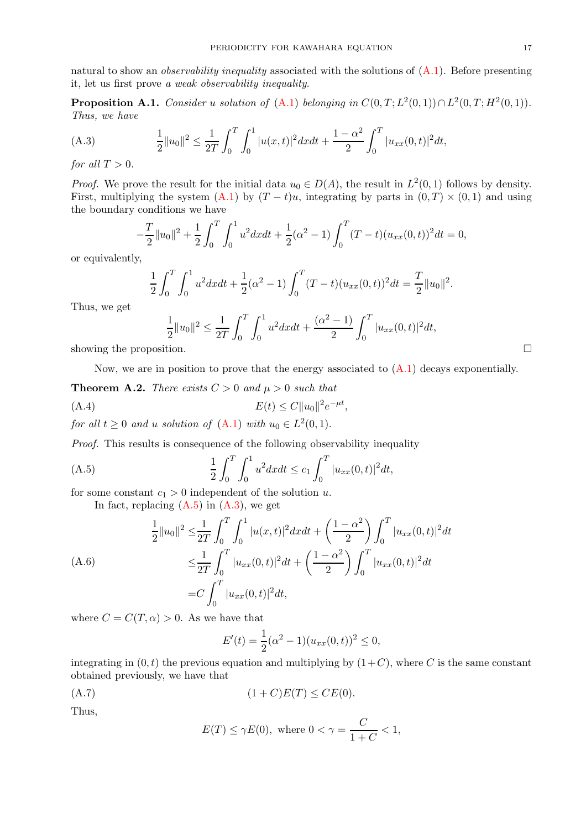natural to show an observability inequality associated with the solutions of [\(A.1\)](#page-15-1). Before presenting it, let us first prove a weak observability inequality.

**Proposition A.1.** Consider u solution of  $(A.1)$  belonging in  $C(0,T; L^2(0,1)) \cap L^2(0,T; H^2(0,1))$ . Thus, we have

<span id="page-16-2"></span>(A.3) 
$$
\frac{1}{2}||u_0||^2 \le \frac{1}{2T} \int_0^T \int_0^1 |u(x,t)|^2 dx dt + \frac{1-\alpha^2}{2} \int_0^T |u_{xx}(0,t)|^2 dt,
$$

for all  $T > 0$ .

*Proof.* We prove the result for the initial data  $u_0 \in D(A)$ , the result in  $L^2(0,1)$  follows by density. First, multiplying the system  $(A.1)$  by  $(T - t)u$ , integrating by parts in  $(0, T) \times (0, 1)$  and using the boundary conditions we have

$$
-\frac{T}{2}||u_0||^2 + \frac{1}{2}\int_0^T \int_0^1 u^2 dx dt + \frac{1}{2}(\alpha^2 - 1)\int_0^T (T - t)(u_{xx}(0, t))^2 dt = 0,
$$

or equivalently,

$$
\frac{1}{2} \int_0^T \int_0^1 u^2 dx dt + \frac{1}{2} (\alpha^2 - 1) \int_0^T (T - t) (u_{xx}(0, t))^2 dt = \frac{T}{2} ||u_0||^2.
$$

Thus, we get

$$
\frac{1}{2}||u_0||^2 \le \frac{1}{2T} \int_0^T \int_0^1 u^2 dx dt + \frac{(\alpha^2 - 1)}{2} \int_0^T |u_{xx}(0, t)|^2 dt,
$$
  
showing the proposition.

Now, we are in position to prove that the energy associated to  $(A.1)$  decays exponentially.

<span id="page-16-0"></span>**Theorem A.2.** There exists  $C > 0$  and  $\mu > 0$  such that

$$
(A.4) \t\t\t E(t) \le C \|u_0\|^2 e^{-\mu t},
$$

for all  $t \geq 0$  and u solution of  $(A.1)$  with  $u_0 \in L^2(0,1)$ .

Proof. This results is consequence of the following observability inequality

(A.5) 
$$
\frac{1}{2} \int_0^T \int_0^1 u^2 dx dt \leq c_1 \int_0^T |u_{xx}(0, t)|^2 dt,
$$

for some constant  $c_1 > 0$  independent of the solution u.

<span id="page-16-1"></span>In fact, replacing  $(A.5)$  in  $(A.3)$ , we get

$$
\frac{1}{2}||u_0||^2 \leq \frac{1}{2T} \int_0^T \int_0^1 |u(x,t)|^2 dx dt + \left(\frac{1-\alpha^2}{2}\right) \int_0^T |u_{xx}(0,t)|^2 dt
$$
\n
$$
\leq \frac{1}{2T} \int_0^T |u_{xx}(0,t)|^2 dt + \left(\frac{1-\alpha^2}{2}\right) \int_0^T |u_{xx}(0,t)|^2 dt
$$
\n
$$
= C \int_0^T |u_{xx}(0,t)|^2 dt,
$$

where  $C = C(T, \alpha) > 0$ . As we have that

$$
E'(t) = \frac{1}{2}(\alpha^2 - 1)(u_{xx}(0, t))^2 \le 0,
$$

integrating in  $(0, t)$  the previous equation and multiplying by  $(1+C)$ , where C is the same constant obtained previously, we have that

$$
(A.7) \qquad (1+C)E(T) \le CE(0).
$$

Thus,

$$
E(T) \le \gamma E(0), \text{ where } 0 < \gamma = \frac{C}{1+C} < 1,
$$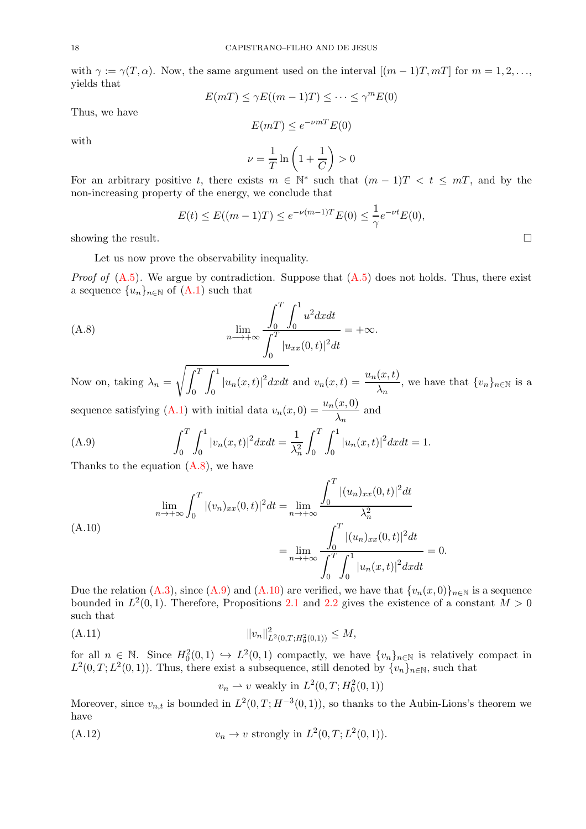with  $\gamma := \gamma(T, \alpha)$ . Now, the same argument used on the interval  $[(m-1)T, mT]$  for  $m = 1, 2, \ldots$ yields that

$$
E(mT) \le \gamma E((m-1)T) \le \cdots \le \gamma^m E(0)
$$

Thus, we have

$$
E(mT) \le e^{-\nu mT} E(0)
$$

with

$$
\nu = \frac{1}{T} \ln \left( 1 + \frac{1}{C} \right) > 0
$$

For an arbitrary positive t, there exists  $m \in \mathbb{N}^*$  such that  $(m-1)T < t \leq mT$ , and by the non-increasing property of the energy, we conclude that

<span id="page-17-0"></span>
$$
E(t) \le E((m-1)T) \le e^{-\nu(m-1)T} E(0) \le \frac{1}{\gamma} e^{-\nu t} E(0),
$$

showing the result.  $\square$ 

Let us now prove the observability inequality.

*Proof of*  $(A.5)$ . We argue by contradiction. Suppose that  $(A.5)$  does not holds. Thus, there exist a sequence  $\{u_n\}_{n\in\mathbb{N}}$  of  $(A.1)$  such that

(A.8) 
$$
\lim_{n \to +\infty} \frac{\int_0^T \int_0^1 u^2 dx dt}{\int_0^T |u_{xx}(0,t)|^2 dt} = +\infty.
$$

Now on, taking  $\lambda_n = \sqrt{\int_0^T}$ 0  $\int_1^1$  $\int_0^1 |u_n(x,t)|^2 dxdt$  and  $v_n(x,t) = \frac{u_n(x,t)}{\lambda_n}$ , we have that  $\{v_n\}_{n \in \mathbb{N}}$  is a sequence satisfying [\(A.1\)](#page-15-1) with initial data  $v_n(x, 0) = \frac{u_n(x, 0)}{\lambda_n}$  and

<span id="page-17-1"></span>(A.9) 
$$
\int_0^T \int_0^1 |v_n(x,t)|^2 dx dt = \frac{1}{\lambda_n^2} \int_0^T \int_0^1 |u_n(x,t)|^2 dx dt = 1.
$$

Thanks to the equation [\(A.8\)](#page-17-0), we have

<span id="page-17-2"></span>(A.10)  

$$
\lim_{n \to +\infty} \int_0^T |(v_n)_{xx}(0,t)|^2 dt = \lim_{n \to +\infty} \frac{\int_0^T |(u_n)_{xx}(0,t)|^2 dt}{\lambda_n^2}
$$

$$
= \lim_{n \to +\infty} \frac{\int_0^T |(u_n)_{xx}(0,t)|^2 dt}{\int_0^T \int_0^1 |u_n(x,t)|^2 dx dt} = 0.
$$

Due the relation [\(A.3\)](#page-16-2), since [\(A.9\)](#page-17-1) and [\(A.10\)](#page-17-2) are verified, we have that  ${v_n(x,0)}_{n\in\mathbb{N}}$  is a sequence bounded in  $L^2(0,1)$ . Therefore, Propositions [2.1](#page-4-1) and [2.2](#page-4-0) gives the existence of a constant  $M > 0$ such that

$$
||v_n||_{L^2(0,T;H_0^2(0,1))}^2 \leq M,
$$

for all  $n \in \mathbb{N}$ . Since  $H_0^2(0,1) \hookrightarrow L^2(0,1)$  compactly, we have  $\{v_n\}_{n\in\mathbb{N}}$  is relatively compact in  $L^2(0,T; L^2(0,1))$ . Thus, there exist a subsequence, still denoted by  $\{v_n\}_{n\in\mathbb{N}}$ , such that

<span id="page-17-3"></span> $v_n \rightharpoonup v$  weakly in  $L^2(0, T; H_0^2(0, 1))$ 

Moreover, since  $v_{n,t}$  is bounded in  $L^2(0,T;H^{-3}(0,1))$ , so thanks to the Aubin-Lions's theorem we have

$$
(A.12) \t\t v_n \to v \text{ strongly in } L^2(0,T;L^2(0,1)).
$$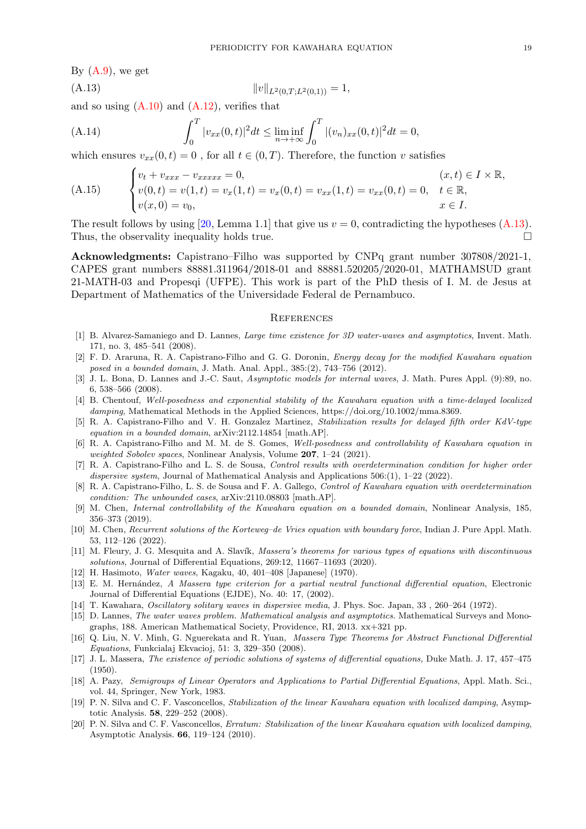By  $(A.9)$ , we get

<span id="page-18-20"></span>
$$
||v||_{L^2(0,T;L^2(0,1))} = 1,
$$

and so using  $(A.10)$  and  $(A.12)$ , verifies that

(A.14) 
$$
\int_0^T |v_{xx}(0,t)|^2 dt \le \liminf_{n \to +\infty} \int_0^T |(v_n)_{xx}(0,t)|^2 dt = 0,
$$

which ensures  $v_{xx}(0, t) = 0$ , for all  $t \in (0, T)$ . Therefore, the function v satisfies

(A.15) 
$$
\begin{cases} v_t + v_{xxx} - v_{xxxxx} = 0, & (x, t) \in I \times \mathbb{R}, \\ v(0, t) = v(1, t) = v_x(1, t) = v_x(0, t) = v_{xx}(1, t) = v_{xx}(0, t) = 0, & t \in \mathbb{R}, \\ v(x, 0) = v_0, & x \in I. \end{cases}
$$

The result follows by using [\[20,](#page-18-19) Lemma 1.1] that give us  $v = 0$ , contradicting the hypotheses [\(A.13\)](#page-18-20). Thus, the observality inequality holds true.

Acknowledgments: Capistrano–Filho was supported by CNPq grant number 307808/2021-1, CAPES grant numbers 88881.311964/2018-01 and 88881.520205/2020-01, MATHAMSUD grant 21-MATH-03 and Propesqi (UFPE). This work is part of the PhD thesis of I. M. de Jesus at Department of Mathematics of the Universidade Federal de Pernambuco.

### **REFERENCES**

- <span id="page-18-1"></span>[1] B. Alvarez-Samaniego and D. Lannes, Large time existence for 3D water-waves and asymptotics, Invent. Math. 171, no. 3, 485–541 (2008).
- <span id="page-18-7"></span>[2] F. D. Araruna, R. A. Capistrano-Filho and G. G. Doronin, Energy decay for the modified Kawahara equation posed in a bounded domain, J. Math. Anal. Appl., 385:(2), 743–756 (2012).
- <span id="page-18-2"></span>[3] J. L. Bona, D. Lannes and J.-C. Saut, Asymptotic models for internal waves, J. Math. Pures Appl. (9):89, no. 6, 538–566 (2008).
- <span id="page-18-12"></span>[4] B. Chentouf, Well-posedness and exponential stability of the Kawahara equation with a time-delayed localized damping, Mathematical Methods in the Applied Sciences, https://doi.org/10.1002/mma.8369.
- <span id="page-18-13"></span>[5] R. A. Capistrano-Filho and V. H. Gonzalez Martinez, Stabilization results for delayed fifth order KdV-type equation in a bounded domain, arXiv:2112.14854 [math.AP].
- <span id="page-18-9"></span>[6] R. A. Capistrano-Filho and M. M. de S. Gomes, Well-posedness and controllability of Kawahara equation in weighted Sobolev spaces, Nonlinear Analysis, Volume 207, 1–24 (2021).
- <span id="page-18-10"></span>[7] R. A. Capistrano-Filho and L. S. de Sousa, Control results with overdetermination condition for higher order dispersive system, Journal of Mathematical Analysis and Applications  $506:(1)$ ,  $1-22$  (2022).
- <span id="page-18-11"></span>[8] R. A. Capistrano-Filho, L. S. de Sousa and F. A. Gallego, Control of Kawahara equation with overdetermination condition: The unbounded cases, arXiv:2110.08803 [math.AP].
- <span id="page-18-8"></span>[9] M. Chen, Internal controllability of the Kawahara equation on a bounded domain, Nonlinear Analysis, 185, 356–373 (2019).
- <span id="page-18-15"></span>[10] M. Chen, Recurrent solutions of the Korteweg–de Vries equation with boundary force, Indian J. Pure Appl. Math. 53, 112–126 (2022).
- <span id="page-18-16"></span>[11] M. Fleury, J. G. Mesquita and A. Slavík, Massera's theorems for various types of equations with discontinuous solutions, Journal of Differential Equations, 269:12, 11667–11693 (2020).
- <span id="page-18-17"></span><span id="page-18-4"></span>[12] H. Hasimoto, Water waves, Kagaku, 40, 401–408 [Japanese] (1970).
- [13] E. M. Hernández, A Massera type criterion for a partial neutral functional differential equation, Electronic Journal of Differential Equations (EJDE), No. 40: 17, (2002).
- <span id="page-18-5"></span><span id="page-18-3"></span>[14] T. Kawahara, Oscillatory solitary waves in dispersive media, J. Phys. Soc. Japan, 33 , 260–264 (1972).
- [15] D. Lannes, The water waves problem. Mathematical analysis and asymptotics. Mathematical Surveys and Monographs, 188. American Mathematical Society, Providence, RI, 2013. xx+321 pp.
- <span id="page-18-18"></span>[16] Q. Liu, N. V. Minh, G. Nguerekata and R. Yuan, Massera Type Theorems for Abstract Functional Differential Equations, Funkcialaj Ekvacioj, 51: 3, 329–350 (2008).
- <span id="page-18-0"></span>[17] J. L. Massera, The existence of periodic solutions of systems of differential equations, Duke Math. J. 17, 457–475 (1950).
- <span id="page-18-14"></span>[18] A. Pazy, Semigroups of Linear Operators and Applications to Partial Differential Equations, Appl. Math. Sci., vol. 44, Springer, New York, 1983.
- <span id="page-18-6"></span>[19] P. N. Silva and C. F. Vasconcellos, Stabilization of the linear Kawahara equation with localized damping, Asymptotic Analysis. 58, 229–252 (2008).
- <span id="page-18-19"></span>[20] P. N. Silva and C. F. Vasconcellos, Erratum: Stabilization of the linear Kawahara equation with localized damping, Asymptotic Analysis. 66, 119–124 (2010).